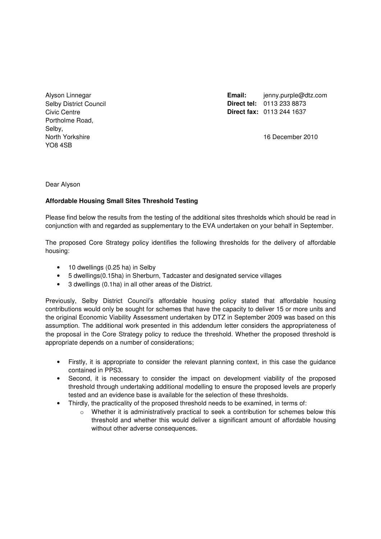Alyson Linnegar Selby District Council Civic Centre Portholme Road, Selby, North Yorkshire YO8 4SB

Email: ienny.purple@dtz.com **Direct tel:** 0113 233 8873 **Direct fax:** 0113 244 1637

16 December 2010

Dear Alyson

# **Affordable Housing Small Sites Threshold Testing**

Please find below the results from the testing of the additional sites thresholds which should be read in conjunction with and regarded as supplementary to the EVA undertaken on your behalf in September.

The proposed Core Strategy policy identifies the following thresholds for the delivery of affordable housing:

- 10 dwellings (0.25 ha) in Selby
- 5 dwellings(0.15ha) in Sherburn, Tadcaster and designated service villages
- 3 dwellings (0.1ha) in all other areas of the District.

Previously, Selby District Council's affordable housing policy stated that affordable housing contributions would only be sought for schemes that have the capacity to deliver 15 or more units and the original Economic Viability Assessment undertaken by DTZ in September 2009 was based on this assumption. The additional work presented in this addendum letter considers the appropriateness of the proposal in the Core Strategy policy to reduce the threshold. Whether the proposed threshold is appropriate depends on a number of considerations;

- Firstly, it is appropriate to consider the relevant planning context, in this case the guidance contained in PPS3.
- Second, it is necessary to consider the impact on development viability of the proposed threshold through undertaking additional modelling to ensure the proposed levels are properly tested and an evidence base is available for the selection of these thresholds.
- Thirdly, the practicality of the proposed threshold needs to be examined, in terms of:
	- o Whether it is administratively practical to seek a contribution for schemes below this threshold and whether this would deliver a significant amount of affordable housing without other adverse consequences.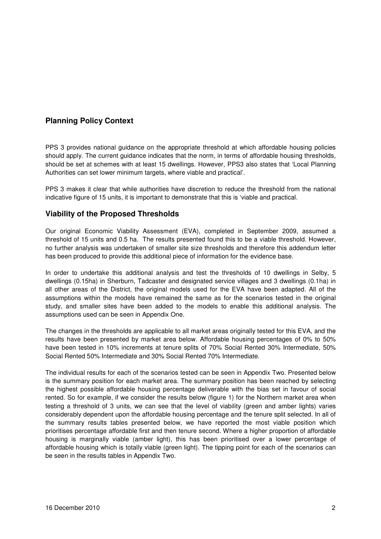# **Planning Policy Context**

PPS 3 provides national guidance on the appropriate threshold at which affordable housing policies should apply. The current guidance indicates that the norm, in terms of affordable housing thresholds, should be set at schemes with at least 15 dwellings. However, PPS3 also states that 'Local Planning Authorities can set lower minimum targets, where viable and practical'.

PPS 3 makes it clear that while authorities have discretion to reduce the threshold from the national indicative figure of 15 units, it is important to demonstrate that this is 'viable and practical.

# **Viability of the Proposed Thresholds**

Our original Economic Viability Assessment (EVA), completed in September 2009, assumed a threshold of 15 units and 0.5 ha. The results presented found this to be a viable threshold. However, no further analysis was undertaken of smaller site size thresholds and therefore this addendum letter has been produced to provide this additional piece of information for the evidence base.

In order to undertake this additional analysis and test the thresholds of 10 dwellings in Selby, 5 dwellings (0.15ha) in Sherburn, Tadcaster and designated service villages and 3 dwellings (0.1ha) in all other areas of the District, the original models used for the EVA have been adapted. All of the assumptions within the models have remained the same as for the scenarios tested in the original study, and smaller sites have been added to the models to enable this additional analysis. The assumptions used can be seen in Appendix One.

The changes in the thresholds are applicable to all market areas originally tested for this EVA, and the results have been presented by market area below. Affordable housing percentages of 0% to 50% have been tested in 10% increments at tenure splits of 70% Social Rented 30% Intermediate, 50% Social Rented 50% Intermediate and 30% Social Rented 70% Intermediate.

The individual results for each of the scenarios tested can be seen in Appendix Two. Presented below is the summary position for each market area. The summary position has been reached by selecting the highest possible affordable housing percentage deliverable with the bias set in favour of social rented. So for example, if we consider the results below (figure 1) for the Northern market area when testing a threshold of 3 units, we can see that the level of viability (green and amber lights) varies considerably dependent upon the affordable housing percentage and the tenure split selected. In all of the summary results tables presented below, we have reported the most viable position which prioritises percentage affordable first and then tenure second. Where a higher proportion of affordable housing is marginally viable (amber light), this has been prioritised over a lower percentage of affordable housing which is totally viable (green light). The tipping point for each of the scenarios can be seen in the results tables in Appendix Two.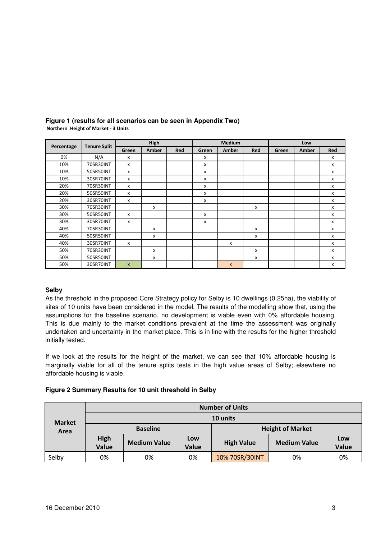|            |                     |                           | High  |     |       | Medium             |     |       | Low   |              |
|------------|---------------------|---------------------------|-------|-----|-------|--------------------|-----|-------|-------|--------------|
| Percentage | <b>Tenure Split</b> | Green                     | Amber | Red | Green | Amber              | Red | Green | Amber | Red          |
| 0%         | N/A                 | $\boldsymbol{\mathsf{x}}$ |       |     | x     |                    |     |       |       | x            |
| 10%        | 70SR30INT           | $\mathsf{x}$              |       |     | x     |                    |     |       |       | x            |
| 10%        | 50SR50INT           | $\mathsf{x}$              |       |     | x     |                    |     |       |       | X            |
| 10%        | 30SR70INT           | $\mathsf{x}$              |       |     | x     |                    |     |       |       | x            |
| 20%        | 70SR30INT           | $\mathsf{x}$              |       |     | x     |                    |     |       |       | x            |
| 20%        | 50SR50INT           | $\mathsf{x}$              |       |     | x     |                    |     |       |       | $\mathsf{x}$ |
| 20%        | 30SR70INT           | X                         |       |     | x     |                    |     |       |       | $\mathsf{x}$ |
| 30%        | 70SR30INT           |                           | x     |     |       |                    | X   |       |       | x            |
| 30%        | 50SR50INT           | X                         |       |     | x     |                    |     |       |       | x            |
| 30%        | 30SR70INT           | $\boldsymbol{\mathsf{x}}$ |       |     | x     |                    |     |       |       | x            |
| 40%        | 70SR30INT           |                           | x     |     |       |                    | x   |       |       | $\mathsf{x}$ |
| 40%        | 50SR50INT           |                           | x     |     |       |                    | x   |       |       | $\mathsf{x}$ |
| 40%        | 30SR70INT           | X                         |       |     |       | X                  |     |       |       | x            |
| 50%        | 70SR30INT           |                           | x     |     |       |                    | x   |       |       | x            |
| 50%        | 50SR50INT           |                           | x     |     |       |                    | x   |       |       | x            |
| 50%        | 30SR70INT           | $\mathsf{x}$              |       |     |       | $\pmb{\mathsf{x}}$ |     |       |       | X            |

#### **Figure 1 (results for all scenarios can be seen in Appendix Two)**  Northern Height of Market - 3 Units

# **Selby**

As the threshold in the proposed Core Strategy policy for Selby is 10 dwellings (0.25ha), the viability of sites of 10 units have been considered in the model. The results of the modelling show that, using the assumptions for the baseline scenario, no development is viable even with 0% affordable housing. This is due mainly to the market conditions prevalent at the time the assessment was originally undertaken and uncertainty in the market place. This is in line with the results for the higher threshold initially tested.

If we look at the results for the height of the market, we can see that 10% affordable housing is marginally viable for all of the tenure splits tests in the high value areas of Selby; elsewhere no affordable housing is viable.

# **Figure 2 Summary Results for 10 unit threshold in Selby**

| <b>Market</b><br>Area |                                        | <b>Number of Units</b> |              |                         |                     |              |  |  |  |  |
|-----------------------|----------------------------------------|------------------------|--------------|-------------------------|---------------------|--------------|--|--|--|--|
|                       | 10 units                               |                        |              |                         |                     |              |  |  |  |  |
|                       |                                        | <b>Baseline</b>        |              | <b>Height of Market</b> |                     |              |  |  |  |  |
|                       | <b>High</b><br>Value                   | <b>Medium Value</b>    | Low<br>Value | <b>High Value</b>       | <b>Medium Value</b> | Low<br>Value |  |  |  |  |
| Selby                 | 10% 70SR/30INT<br>0%<br>0%<br>0%<br>0% |                        |              |                         |                     |              |  |  |  |  |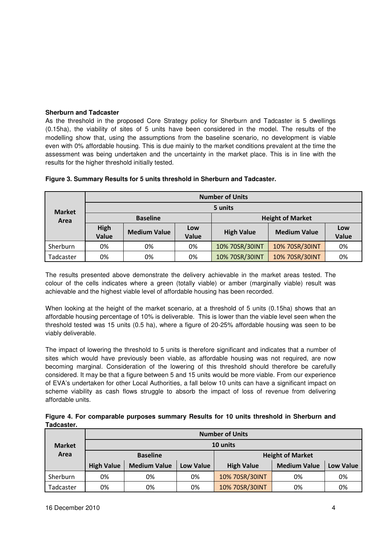# **Sherburn and Tadcaster**

As the threshold in the proposed Core Strategy policy for Sherburn and Tadcaster is 5 dwellings (0.15ha), the viability of sites of 5 units have been considered in the model. The results of the modelling show that, using the assumptions from the baseline scenario, no development is viable even with 0% affordable housing. This is due mainly to the market conditions prevalent at the time the assessment was being undertaken and the uncertainty in the market place. This is in line with the results for the higher threshold initially tested.

|                       |                      | <b>Number of Units</b> |                     |                         |                     |              |  |  |  |  |  |
|-----------------------|----------------------|------------------------|---------------------|-------------------------|---------------------|--------------|--|--|--|--|--|
| <b>Market</b><br>Area |                      | 5 units                |                     |                         |                     |              |  |  |  |  |  |
|                       |                      | <b>Baseline</b>        |                     | <b>Height of Market</b> |                     |              |  |  |  |  |  |
|                       | <b>High</b><br>Value | <b>Medium Value</b>    | Low<br><b>Value</b> | <b>High Value</b>       | <b>Medium Value</b> | Low<br>Value |  |  |  |  |  |
| Sherburn              | 0%                   | 0%                     | 0%                  | 10% 70SR/30INT          | 10% 70SR/30INT      | 0%           |  |  |  |  |  |
| Tadcaster             | 0%                   | 0%                     | 0%                  | 10% 70SR/30INT          | 10% 70SR/30INT      | 0%           |  |  |  |  |  |

## **Figure 3. Summary Results for 5 units threshold in Sherburn and Tadcaster.**

The results presented above demonstrate the delivery achievable in the market areas tested. The colour of the cells indicates where a green (totally viable) or amber (marginally viable) result was achievable and the highest viable level of affordable housing has been recorded.

When looking at the height of the market scenario, at a threshold of 5 units (0.15ha) shows that an affordable housing percentage of 10% is deliverable. This is lower than the viable level seen when the threshold tested was 15 units (0.5 ha), where a figure of 20-25% affordable housing was seen to be viably deliverable.

The impact of lowering the threshold to 5 units is therefore significant and indicates that a number of sites which would have previously been viable, as affordable housing was not required, are now becoming marginal. Consideration of the lowering of this threshold should therefore be carefully considered. It may be that a figure between 5 and 15 units would be more viable. From our experience of EVA's undertaken for other Local Authorities, a fall below 10 units can have a significant impact on scheme viability as cash flows struggle to absorb the impact of loss of revenue from delivering affordable units.

| Figure 4. For comparable purposes summary Results for 10 units threshold in Sherburn and |  |  |  |  |
|------------------------------------------------------------------------------------------|--|--|--|--|
| Tadcaster.                                                                               |  |  |  |  |

| <b>Market</b> |                   | <b>Number of Units</b> |           |                         |                     |                  |  |  |  |  |  |
|---------------|-------------------|------------------------|-----------|-------------------------|---------------------|------------------|--|--|--|--|--|
|               | 10 units          |                        |           |                         |                     |                  |  |  |  |  |  |
| Area          |                   | <b>Baseline</b>        |           | <b>Height of Market</b> |                     |                  |  |  |  |  |  |
|               | <b>High Value</b> | <b>Medium Value</b>    | Low Value | <b>High Value</b>       | <b>Medium Value</b> | <b>Low Value</b> |  |  |  |  |  |
| Sherburn      | 0%                | 0%                     | 0%        | 10% 70SR/30INT          | 0%                  | 0%               |  |  |  |  |  |
| Tadcaster     | 0%                | 0%                     | 0%        | 10% 70SR/30INT          | 0%                  | 0%               |  |  |  |  |  |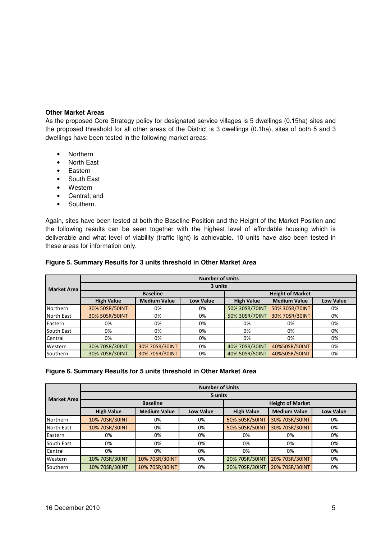# **Other Market Areas**

As the proposed Core Strategy policy for designated service villages is 5 dwellings (0.15ha) sites and the proposed threshold for all other areas of the District is 3 dwellings (0.1ha), sites of both 5 and 3 dwellings have been tested in the following market areas:

- Northern
- North East
- Eastern
- South East
- Western
- Central; and
- Southern.

Again, sites have been tested at both the Baseline Position and the Height of the Market Position and the following results can be seen together with the highest level of affordable housing which is deliverable and what level of viability (traffic light) is achievable. 10 units have also been tested in these areas for information only.

|                    | <b>Number of Units</b> |                     |                  |                   |                         |           |  |  |  |  |  |
|--------------------|------------------------|---------------------|------------------|-------------------|-------------------------|-----------|--|--|--|--|--|
| <b>Market Area</b> | 3 units                |                     |                  |                   |                         |           |  |  |  |  |  |
|                    |                        | <b>Baseline</b>     |                  |                   | <b>Height of Market</b> |           |  |  |  |  |  |
|                    | <b>High Value</b>      | <b>Medium Value</b> | <b>Low Value</b> | <b>High Value</b> | <b>Medium Value</b>     | Low Value |  |  |  |  |  |
| Northern           | 30% 50SR/50INT         | 0%                  | 0%               | 50% 30SR/70INT    | 50% 30SR/70INT          | 0%        |  |  |  |  |  |
| North East         | 30% 50SR/50INT         | 0%                  | 0%               | 50% 30SR/70INT    | 30% 70SR/30INT          | 0%        |  |  |  |  |  |
| Eastern            | 0%                     | 0%                  | 0%               | 0%                | 0%                      | 0%        |  |  |  |  |  |
| South East         | 0%                     | 0%                  | 0%               | 0%                | 0%                      | 0%        |  |  |  |  |  |
| Central            | 0%                     | 0%                  | 0%               | 0%                | 0%                      | 0%        |  |  |  |  |  |
| Western            | 30% 70SR/30INT         | 30% 70SR/30INT      | 0%               | 40% 70SR/30INT    | 40%50SR/50INT           | 0%        |  |  |  |  |  |
| Southern           | 30% 70SR/30INT         | 30% 70SR/30INT      | 0%               | 40% 50SR/50INT    | 40%50SR/50INT           | 0%        |  |  |  |  |  |

## **Figure 5. Summary Results for 3 units threshold in Other Market Area**

# **Figure 6. Summary Results for 5 units threshold in Other Market Area**

|                    | <b>Number of Units</b> |                     |                  |                   |                         |                  |  |  |  |  |
|--------------------|------------------------|---------------------|------------------|-------------------|-------------------------|------------------|--|--|--|--|
| <b>Market Area</b> | 5 units                |                     |                  |                   |                         |                  |  |  |  |  |
|                    |                        | <b>Baseline</b>     |                  |                   | <b>Height of Market</b> |                  |  |  |  |  |
|                    | <b>High Value</b>      | <b>Medium Value</b> | <b>Low Value</b> | <b>High Value</b> | <b>Medium Value</b>     | <b>Low Value</b> |  |  |  |  |
| <b>Northern</b>    | 10% 70SR/30INT         | 0%                  | 0%               | 50% 50SR/50INT    | 30% 70SR/30INT          | 0%               |  |  |  |  |
| <b>North East</b>  | 10% 70SR/30INT         | 0%                  | 0%               | 50% 50SR/50INT    | 30% 70SR/30INT          | 0%               |  |  |  |  |
| Eastern            | 0%                     | 0%                  | 0%               | 0%                | 0%                      | 0%               |  |  |  |  |
| South East         | 0%                     | 0%                  | 0%               | 0%                | 0%                      | 0%               |  |  |  |  |
| Central            | 0%                     | 0%                  | 0%               | 0%                | 0%                      | 0%               |  |  |  |  |
| Western            | 10% 70SR/30INT         | 10% 70SR/30INT      | 0%               | 20% 70SR/30INT    | 20% 70SR/30INT          | 0%               |  |  |  |  |
| Southern           | 10% 70SR/30INT         | 10% 70SR/30INT      | 0%               | 20% 70SR/30INT    | 20% 70SR/30INT          | 0%               |  |  |  |  |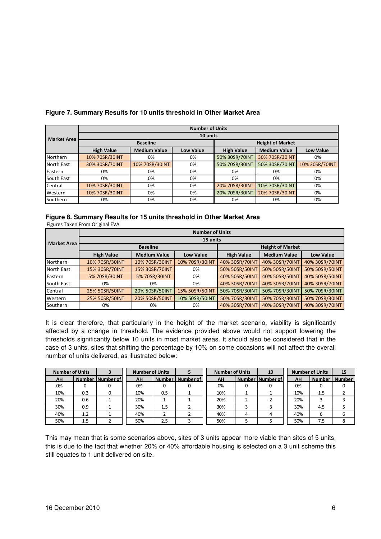|                    | <b>Number of Units</b> |                     |                  |                   |                         |                  |  |  |  |  |
|--------------------|------------------------|---------------------|------------------|-------------------|-------------------------|------------------|--|--|--|--|
| <b>Market Area</b> |                        |                     | 10 units         |                   |                         |                  |  |  |  |  |
|                    |                        | <b>Baseline</b>     |                  |                   | <b>Height of Market</b> |                  |  |  |  |  |
|                    | <b>High Value</b>      | <b>Medium Value</b> | <b>Low Value</b> | <b>High Value</b> | <b>Medium Value</b>     | <b>Low Value</b> |  |  |  |  |
| Northern           | 10% 70SR/30INT         | 0%                  | 0%               | 50% 30SR/70INT    | 30% 70SR/30INT          | 0%               |  |  |  |  |
| North East         | 30% 30SR/70INT         | 10% 70SR/30INT      | 0%               | 50% 70SR/30INT    | 50% 30SR/70INT          | 10% 30SR/70INT   |  |  |  |  |
| Eastern            | 0%                     | 0%                  | 0%               | 0%                | 0%                      | 0%               |  |  |  |  |
| South East         | 0%                     | 0%                  | 0%               | 0%                | 0%                      | 0%               |  |  |  |  |
| Central            | 10% 70SR/30INT         | 0%                  | 0%               | 20% 70SR/30INT    | 10% 70SR/30INT          | 0%               |  |  |  |  |
| Western            | 10% 70SR/30INT         | 0%                  | 0%               | 20% 70SR/30INT    | 20% 70SR/30INT          | 0%               |  |  |  |  |
| Southern           | 0%                     | 0%                  | 0%               | 0%                | 0%                      | 0%               |  |  |  |  |

# **Figure 7. Summary Results for 10 units threshold in Other Market Area**

# **Figure 8. Summary Results for 15 units threshold in Other Market Area**

Figures Taken From Original EVA

|                    |                   | <b>Number of Units</b> |                |                   |                         |                  |  |  |  |  |  |
|--------------------|-------------------|------------------------|----------------|-------------------|-------------------------|------------------|--|--|--|--|--|
| <b>Market Area</b> | 15 units          |                        |                |                   |                         |                  |  |  |  |  |  |
|                    |                   | <b>Baseline</b>        |                |                   | <b>Height of Market</b> |                  |  |  |  |  |  |
|                    | <b>High Value</b> | <b>Medium Value</b>    | Low Value      | <b>High Value</b> | <b>Medium Value</b>     | <b>Low Value</b> |  |  |  |  |  |
| Northern           | 10% 70SR/30INT    | 10% 70SR/30INT         | 10% 70SR/30INT | 40% 30SR/70INT    | 40% 30SR/70INT          | 40% 30SR/70INT   |  |  |  |  |  |
| North East         | 15% 30SR/70INT    | 15% 30SR/70INT         | 0%             | 50% 50SR/50INT    | 50% 50SR/50INT          | 50% 50SR/50INT   |  |  |  |  |  |
| Eastern            | 5% 70SR/30INT     | 5% 70SR/30INT          | 0%             | 40% 50SR/50INT    | 40% 50SR/50INT          | 40% 50SR/50INT   |  |  |  |  |  |
| South East         | 0%                | 0%                     | 0%             | 40% 30SR/70INT    | 40% 30SR/70INT          | 40% 30SR/70INT   |  |  |  |  |  |
| Central            | 25% 50SR/50INT    | 20% 50SR/50INT         | 15% 50SR/50INT | 50% 70SR/30INT    | 50% 70SR/30INT          | 50% 70SR/30INT   |  |  |  |  |  |
| Western            | 25% 50SR/50INT    | 20% 50SR/50INT         | 10% 50SR/50INT | 50% 70SR/30INT    | 50% 70SR/30INT          | 50% 70SR/30INT   |  |  |  |  |  |
| Southern           | 0%                | 0%                     | 0%             | 40% 30SR/70INT    | 40% 30SR/70INT          | 40% 30SR/70INT   |  |  |  |  |  |

It is clear therefore, that particularly in the height of the market scenario, viability is significantly affected by a change in threshold. The evidence provided above would not support lowering the thresholds significantly below 10 units in most market areas. It should also be considered that in the case of 3 units, sites that shifting the percentage by 10% on some occasions will not affect the overall number of units delivered, as illustrated below:

|     | <b>Number of Units</b> |                  | <b>Number of Units</b> |     |                    |     | <b>Number of Units</b> |                    | 10  |                 | <b>Number of Units</b> | 15 |
|-----|------------------------|------------------|------------------------|-----|--------------------|-----|------------------------|--------------------|-----|-----------------|------------------------|----|
| AH  |                        | Number Number of | AH                     |     | Number   Number of | AH  |                        | Number   Number of | AH  | Number   Number |                        |    |
| 0%  |                        |                  | 0%                     |     |                    | 0%  |                        |                    | 0%  | 0               |                        |    |
| 10% | 0.3                    |                  | 10%                    | 0.5 |                    | 10% |                        |                    | 10% | 1.5             |                        |    |
| 20% | 0.6                    |                  | 20%                    |     |                    | 20% |                        |                    | 20% | З               |                        |    |
| 30% | 0.9                    |                  | 30%                    | 1.5 |                    | 30% |                        |                    | 30% | 4.5             |                        |    |
| 40% | 1.2                    |                  | 40%                    |     |                    | 40% | 4                      |                    | 40% | 6               | 6                      |    |
| 50% | 1.5                    |                  | 50%                    | 2.5 |                    | 50% |                        |                    | 50% | 7.5             | 8                      |    |

This may mean that is some scenarios above, sites of 3 units appear more viable than sites of 5 units, this is due to the fact that whether 20% or 40% affordable housing is selected on a 3 unit scheme this still equates to 1 unit delivered on site.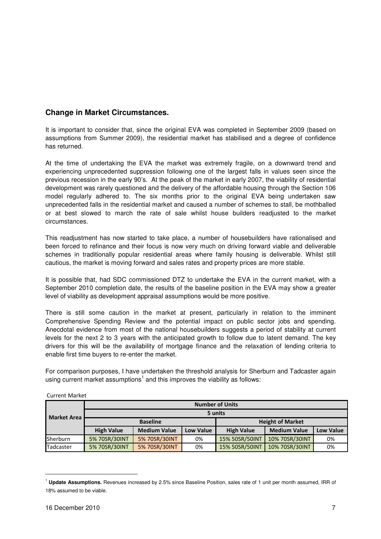# **Change in Market Circumstances.**

It is important to consider that, since the original EVA was completed in September 2009 (based on assumptions from Summer 2009), the residential market has stabilised and a degree of confidence has returned.

At the time of undertaking the EVA the market was extremely fragile, on a downward trend and experiencing unprecedented suppression following one of the largest falls in values seen since the previous recession in the early 90's. At the peak of the market in early 2007, the viability of residential development was rarely questioned and the delivery of the affordable housing through the Section 106 model regularly adhered to. The six months prior to the original EVA being undertaken saw unprecedented falls in the residential market and caused a number of schemes to stall, be mothballed or at best slowed to march the rate of sale whilst house builders readjusted to the market circumstances.

This readjustment has now started to take place, a number of housebuilders have rationalised and been forced to refinance and their focus is now very much on driving forward viable and deliverable schemes in traditionally popular residential areas where family housing is deliverable. Whilst still cautious, the market is moving forward and sales rates and property prices are more stable.

It is possible that, had SDC commissioned DTZ to undertake the EVA in the current market, with a September 2010 completion date, the results of the baseline position in the EVA may show a greater level of viability as development appraisal assumptions would be more positive.

There is still some caution in the market at present, particularly in relation to the imminent Comprehensive Spending Review and the potential impact on public sector jobs and spending. Anecdotal evidence from most of the national housebuilders suggests a period of stability at current levels for the next 2 to 3 years with the anticipated growth to follow due to latent demand. The key drivers for this will be the availability of mortgage finance and the relaxation of lending criteria to enable first time buyers to re-enter the market.

For comparison purposes, I have undertaken the threshold analysis for Sherburn and Tadcaster again using current market assumptions<sup>1</sup> and this improves the viability as follows:

| <b>Market Area</b> |                   | <b>Number of Units</b> |                  |                         |                     |                  |  |  |  |  |  |
|--------------------|-------------------|------------------------|------------------|-------------------------|---------------------|------------------|--|--|--|--|--|
|                    | 5 units           |                        |                  |                         |                     |                  |  |  |  |  |  |
|                    |                   | <b>Baseline</b>        |                  | <b>Height of Market</b> |                     |                  |  |  |  |  |  |
|                    | <b>High Value</b> | <b>Medium Value</b>    | <b>Low Value</b> | <b>High Value</b>       | <b>Medium Value</b> | <b>Low Value</b> |  |  |  |  |  |
| <b>Sherburn</b>    | 5% 70SR/30INT     | 5% 70SR/30INT          | 0%               | 15% 50SR/50INT          | 10% 70SR/30INT      | 0%               |  |  |  |  |  |
| Tadcaster          | 5% 70SR/30INT     | 5% 70SR/30INT          | 0%               | 15% 50SR/50INT          | 10% 70SR/30INT      | 0%               |  |  |  |  |  |

Current Market

l

<sup>1</sup> **Update Assumptions.** Revenues increased by 2.5% since Baseline Position, sales rate of 1 unit per month assumed, IRR of 18% assumed to be viable.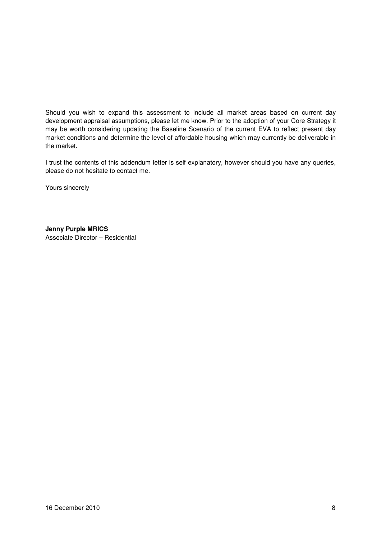Should you wish to expand this assessment to include all market areas based on current day development appraisal assumptions, please let me know. Prior to the adoption of your Core Strategy it may be worth considering updating the Baseline Scenario of the current EVA to reflect present day market conditions and determine the level of affordable housing which may currently be deliverable in the market.

I trust the contents of this addendum letter is self explanatory, however should you have any queries, please do not hesitate to contact me.

Yours sincerely

**Jenny Purple MRICS**  Associate Director – Residential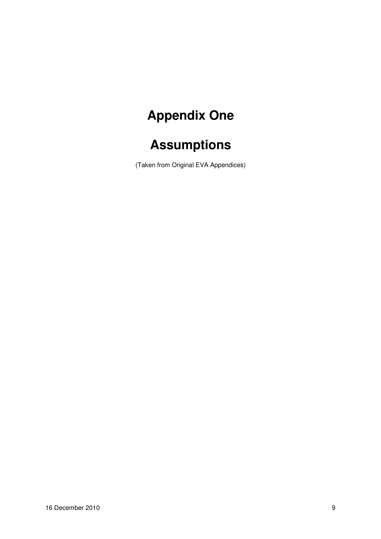# **Appendix One**

# **Assumptions**

(Taken from Original EVA Appendices)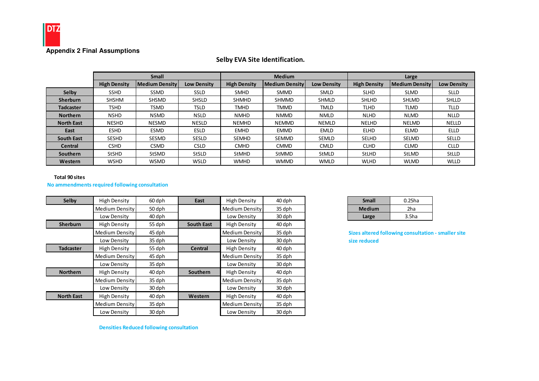

# Selby EVA Site Identification.

|                   |                     | <b>Small</b>          |                    |                     | <b>Medium</b>         |                    | Large               |                       |                    |  |
|-------------------|---------------------|-----------------------|--------------------|---------------------|-----------------------|--------------------|---------------------|-----------------------|--------------------|--|
|                   | <b>High Density</b> | <b>Medium Density</b> | <b>Low Density</b> | <b>High Density</b> | <b>Medium Density</b> | <b>Low Density</b> | <b>High Density</b> | <b>Medium Density</b> | <b>Low Density</b> |  |
| Selby             | <b>SSHD</b>         | SSMD                  | <b>SSLD</b>        | <b>SMHD</b>         | <b>SMMD</b>           | <b>SMLD</b>        | <b>SLHD</b>         | <b>SLMD</b>           | <b>SLLD</b>        |  |
| <b>Sherburn</b>   | <b>SHSHM</b>        | <b>SHSMD</b>          | <b>SHSLD</b>       | <b>SHMHD</b>        | <b>SHMMD</b>          | <b>SHMLD</b>       | <b>SHLHD</b>        | <b>SHLMD</b>          | <b>SHLLD</b>       |  |
| <b>Tadcaster</b>  | <b>TSHD</b>         | <b>TSMD</b>           | <b>TSLD</b>        | <b>TMHD</b>         | <b>TMMD</b>           | TMLD               | <b>TLHD</b>         | TLMD                  | <b>TLLD</b>        |  |
| <b>Northern</b>   | <b>NSHD</b>         | <b>NSMD</b>           | <b>NSLD</b>        | <b>NMHD</b>         | <b>NMMD</b>           | <b>NMLD</b>        | <b>NLHD</b>         | <b>NLMD</b>           | <b>NLLD</b>        |  |
| <b>North East</b> | <b>NESHD</b>        | <b>NESMD</b>          | <b>NESLD</b>       | <b>NEMHD</b>        | <b>NEMMD</b>          | <b>NEMLD</b>       | NELHD               | <b>NELMD</b>          | <b>NELLD</b>       |  |
| East              | <b>ESHD</b>         | ESMD                  | <b>ESLD</b>        | <b>EMHD</b>         | <b>EMMD</b>           | <b>EMLD</b>        | <b>ELHD</b>         | <b>ELMD</b>           | <b>ELLD</b>        |  |
| <b>South East</b> | <b>SESHD</b>        | <b>SESMD</b>          | <b>SESLD</b>       | <b>SEMHD</b>        | <b>SEMMD</b>          | <b>SEMLD</b>       | <b>SELHD</b>        | <b>SELMD</b>          | <b>SELLD</b>       |  |
| <b>Central</b>    | <b>CSHD</b>         | <b>CSMD</b>           | <b>CSLD</b>        | <b>CMHD</b>         | <b>CMMD</b>           | <b>CMLD</b>        | <b>CLHD</b>         | <b>CLMD</b>           | <b>CLLD</b>        |  |
| Southern          | <b>StSHD</b>        | StSMD                 | <b>StSLD</b>       | <b>StMHD</b>        | <b>StMMD</b>          | StMLD              | <b>StLHD</b>        | <b>StLMD</b>          | <b>StLLD</b>       |  |
| Western           | <b>WSHD</b>         | <b>WSMD</b>           | <b>WSLD</b>        | <b>WMHD</b>         | <b>WMMD</b>           | <b>WMLD</b>        | <b>WLHD</b>         | <b>WLMD</b>           | <b>WLLD</b>        |  |

#### Total 90 sites

## No ammendments required following consultation

| Selby             | <b>High Density</b> | 60 dph | East              | <b>High Density</b> | 40 dph | <b>Small</b>                          | $0.25$ ha         |
|-------------------|---------------------|--------|-------------------|---------------------|--------|---------------------------------------|-------------------|
|                   | Medium Density      | 50 dph |                   | Medium Density      | 35 dph | <b>Medium</b>                         | 2ha               |
|                   | Low Density         | 40 dph |                   | Low Density         | 30 dph | Large                                 | 3.5 <sub>ha</sub> |
| <b>Sherburn</b>   | <b>High Density</b> | 55 dph | <b>South East</b> | <b>High Density</b> | 40 dph |                                       |                   |
|                   | Medium Density      | 45 dph |                   | Medium Density      | 35 dph | <b>Sizes altered following consul</b> |                   |
|                   | Low Density         | 35 dph |                   | Low Density         | 30 dph | size reduced                          |                   |
| <b>Tadcaster</b>  | <b>High Density</b> | 55 dph | <b>Central</b>    | <b>High Density</b> | 40 dph |                                       |                   |
|                   | Medium Density      | 45 dph |                   | Medium Density      | 35 dph |                                       |                   |
|                   | Low Density         | 35 dph |                   | Low Density         | 30 dph |                                       |                   |
| <b>Northern</b>   | <b>High Density</b> | 40 dph | <b>Southern</b>   | <b>High Density</b> | 40 dph |                                       |                   |
|                   | Medium Density      | 35 dph |                   | Medium Density      | 35 dph |                                       |                   |
|                   | Low Density         | 30 dph |                   | Low Density         | 30 dph |                                       |                   |
| <b>North East</b> | <b>High Density</b> | 40 dph | Western           | <b>High Density</b> | 40 dph |                                       |                   |
|                   | Medium Density      | 35 dph |                   | Medium Density      | 35 dph |                                       |                   |
|                   | Low Density         | 30 dph |                   | Low Density         | 30 dph |                                       |                   |
|                   |                     |        |                   |                     |        |                                       |                   |

| h | <b>Small</b>  | $0.25$ ha         |
|---|---------------|-------------------|
| h | <b>Medium</b> | 2ha               |
| h | Large         | 3.5 <sub>ha</sub> |

Sizes altered following consultation - smaller sitesize reduced

Densities Reduced following consultation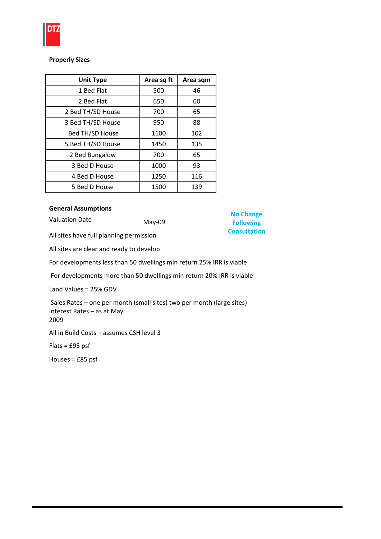

# Properly Sizes

| <b>Unit Type</b>  | Area sq ft | Area sqm |
|-------------------|------------|----------|
| 1 Bed Flat        | 500        | 46       |
| 2 Bed Flat        | 650        | 60       |
| 2 Bed TH/SD House | 700        | 65       |
| 3 Bed TH/SD House | 950        | 88       |
| Bed TH/SD House   | 1100       | 102      |
| 5 Bed TH/SD House | 1450       | 135      |
| 2 Bed Bungalow    | 700        | 65       |
| 3 Bed D House     | 1000       | 93       |
| 4 Bed D House     | 1250       | 116      |
| 5 Bed D House     | 1500       | 139      |

# General Assumptions

Valuation Date May-09

No Change Following **Consultation** 

All sites have full planning permission

All sites are clear and ready to develop

For developments less than 50 dwellings min return 25% IRR is viable

For developments more than 50 dwellings min return 20% IRR is viable

Land Values = 25% GDV

 Sales Rates – one per month (small sites) two per month (large sites) Interest Rates – as at May 2009

All in Build Costs – assumes CSH level 3

Flats = £95 psf

Houses = £85 psf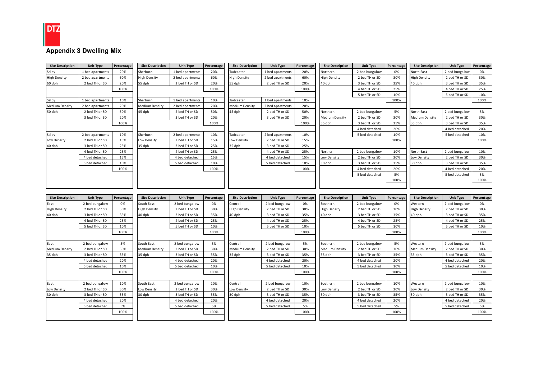

| <b>Site Description</b> | <b>Unit Type</b>                 | Percentage | <b>Site Description</b>       | <b>Unit Type</b>                 | Percentage | <b>Site Description</b> | <b>Unit Type</b>                 | Percentage | <b>Site Description</b> | <b>Unit Type</b>                 | Percentage | <b>Site Description</b> | <b>Unit Type</b>                 | Percentage |
|-------------------------|----------------------------------|------------|-------------------------------|----------------------------------|------------|-------------------------|----------------------------------|------------|-------------------------|----------------------------------|------------|-------------------------|----------------------------------|------------|
| Selby                   | 1 bed apartments                 | 20%        | Sherburn                      | 1 bed apartments                 | 20%        | Tadcaster               | 1 bed apartments                 | 20%        | Northern                | 2 bed bungalow                   | 0%         | North East              | 2 bed bungalow                   | 0%         |
| <b>High Density</b>     | 2 bed apartments                 | 60%        | <b>High Density</b>           | 2 bed apartments                 | 60%        | High Density            | 2 bed apartments                 | 60%        | High Density            | 2 bed TH or SD                   | 30%        | High Density            | 2 bed TH or SD                   | 30%        |
| 60 dph                  | 2 bed TH or SD                   | 20%        | 55 dph                        | 2 bed TH or SD                   | 20%        | 55 dph                  | 2 bed TH or SD                   | 20%        | 40 dph                  | 3 bed TH or SD                   | 35%        | 40 dph                  | 3 bed TH or SD                   | 35%        |
|                         |                                  | 100%       |                               |                                  | 100%       |                         |                                  | 100%       |                         | 4 bed TH or SD                   | 25%        |                         | 4 bed TH or SD                   | 25%        |
|                         |                                  |            |                               |                                  |            |                         |                                  |            |                         | 5 bed TH or SD                   | 10%        |                         | 5 bed TH or SD                   | 10%        |
| Sel by                  | 1 bed apartments                 | 10%        | Sherburn                      | 1 bed apartments                 | 10%        | Tadcaster               | 1 bed apartments                 | 10%        |                         |                                  | 100%       |                         |                                  | 100%       |
| Medium Density          | 2 bed apartments                 | 20%        | Medium Density                | 2 bed apartments                 | 20%        | Medium Density          | 2 bed apartments                 | 20%        |                         |                                  |            |                         |                                  |            |
| 50 dph                  | 2 bed TH or SD                   | 50%        | 45 dph                        | 2 bed TH or SD                   | 50%        | 45 dph                  | 2 bed TH or SD                   | 50%        | Northern                | 2 bed bungalow                   | 5%         | North East              | 2 bed bungalow                   | 5%         |
|                         | 3 bed TH or SD                   | 20%        |                               | 3 bed TH or SD                   | 20%        |                         | 3 bed TH or SD                   | 20%        | Medium Density          | 2 bed TH or SD                   | 30%        | Medium Density          | 2 bed TH or SD                   | 30%        |
|                         |                                  | 100%       |                               |                                  | 100%       |                         |                                  | 100%       | 35 dph                  | 3 bed TH or SD                   | 35%        | 35 dph                  | 3 bed TH or SD                   | 35%        |
|                         |                                  |            |                               |                                  |            |                         |                                  |            |                         | 4 bed detached                   | 20%        |                         | 4 bed detached                   | 20%        |
| Sel by                  | 2 bed apartments                 | 10%        | Sherburn                      | 2 bed apartments                 | 10%        | Tadcaster               | 2 bed apartments                 | 10%        |                         | 5 bed detached                   | 10%        |                         | 5 bed detached                   | 10%        |
| Low Density             | 2 bed TH or SD                   | 15%        | Low Density                   | 2 bed TH or SD                   | 15%        | Low Density             | 2 bed TH or SD                   | 15%        |                         |                                  | 100%       |                         |                                  | 100%       |
| 40 dph                  | 3 bed TH or SD                   | 25%        | 35 dph                        | 3 bed TH or SD                   | 25%        | 35 dph                  | 3 bed TH or SD                   | 25%        |                         |                                  |            |                         |                                  |            |
|                         | 4 bed TH or SD                   | 25%        |                               | 4 bed TH or SD                   | 25%        |                         | 4 bed TH or SD                   | 25%        | Norther                 | 2 bed bungalow                   | 10%        | North East              | 2 bed bungalow                   | 10%        |
|                         | 4 bed detached                   | 15%        |                               | 4 bed detached                   | 15%        |                         | 4 bed detached                   | 15%        | Low Density             | 2 bed TH or SD                   | 30%        | Low Density             | 2 bed TH or SD                   | 30%        |
|                         | 5 bed detached                   | 10%        |                               | 5 bed detached                   | 10%        |                         | 5 bed detached                   | 10%        | 30 dph                  | 3 bed TH or SD                   | 35%        | 30 dph                  | 3 bed TH or SD                   | 35%        |
|                         |                                  | 100%       |                               |                                  | 100%       |                         |                                  | 100%       |                         | 4 bed detached                   | 20%        |                         | 4 bed detached                   | 20%        |
|                         |                                  |            |                               |                                  |            |                         |                                  |            |                         | 5 bed detached                   | 5%         |                         | 5 bed detached                   | 5%         |
|                         |                                  |            |                               |                                  |            |                         |                                  |            |                         |                                  | 100%       |                         |                                  | 100%       |
|                         |                                  |            |                               |                                  |            |                         |                                  |            |                         |                                  |            |                         |                                  |            |
|                         |                                  |            |                               |                                  |            |                         |                                  |            |                         |                                  |            |                         |                                  |            |
|                         |                                  |            |                               |                                  |            |                         |                                  |            |                         |                                  |            |                         |                                  |            |
| <b>Site Description</b> | <b>Unit Type</b>                 | Percentage | <b>Site Description</b>       | <b>Unit Type</b>                 | Percentage | <b>Site Description</b> | <b>Unit Type</b>                 | Percentage | <b>Site Description</b> | <b>Unit Type</b>                 | Percentage | <b>Site Description</b> | <b>Unit Type</b>                 | Percentage |
| East                    | 2 bed bungalow                   | 0%<br>30%  | South East                    | 2 bed bungalow                   | 0%<br>30%  | Central                 | 2 bed bungalow                   | 0%<br>30%  | Southern                | 2 bed bungalow                   | 0%<br>30%  | Western                 | 2 bed bungalow                   | 0%<br>30%  |
| High Density<br>40 dph  | 2 bed TH or SD<br>3 bed TH or SD | 35%        | <b>High Density</b><br>40 dph | 2 bed TH or SD<br>3 bed TH or SD | 35%        | High Density<br>40 dph  | 2 bed TH or SD                   | 35%        | High Density<br>40 dph  | 2 bed TH or SD<br>3 bed TH or SD | 35%        | High Density<br>40 dph  | 2 bed TH or SD<br>3 bed TH or SD | 35%        |
|                         | 4 bed TH or SD                   | 25%        |                               | 4 bed TH or SD                   | 25%        |                         | 3 bed TH or SD<br>4 bed TH or SD | 25%        |                         | 4 bed TH or SD                   | 25%        |                         | 4 bed TH or SD                   | 25%        |
|                         | 5 bed TH or SD                   | 10%        |                               | 5 bed TH or SD                   | 10%        |                         | 5 bed TH or SD                   | 10%        |                         | 5 bed TH or SD                   | 10%        |                         | 5 bed TH or SD                   | 10%        |
|                         |                                  | 100%       |                               |                                  | 100%       |                         |                                  | 100%       |                         |                                  | 100%       |                         |                                  | 100%       |
|                         |                                  |            |                               |                                  |            |                         |                                  |            |                         |                                  |            |                         |                                  |            |
| East                    | 2 bed bungalow                   | 5%         | South East                    | 2 bed bungalow                   | 5%         | Central                 | 2 bed bungalow                   | 5%         | Southern                | 2 bed bungalow                   | 5%         | Western                 | 2 bed bungalow                   | 5%         |
| Medium Density          | 2 bed TH or SD                   | 30%        | Medium Density                | 2 bed TH or SD                   | 30%        | Medium Density          | 2 bed TH or SD                   | 30%        | Medium Density          | 2 bed TH or SD                   | 30%        | Medium Density          | 2 bed TH or SD                   | 30%        |
| 35 dph                  | 3 bed TH or SD                   | 35%        | 35 dph                        | 3 bed TH or SD                   | 35%        | 35 dph                  | 3 bed TH or SD                   | 35%        | 35 dph                  | 3 bed TH or SD                   | 35%        | 35 dph                  | 3 bed TH or SD                   | 35%        |
|                         | 4 bed detached                   | 20%        |                               | 4 bed detached                   | 20%        |                         | 4 bed detached                   | 20%        |                         | 4 bed detached                   | 20%        |                         | 4 bed detached                   | 20%        |
|                         | 5 bed detached                   | 10%        |                               | 5 bed detached                   | 10%        |                         | 5 bed detached                   | 10%        |                         | 5 bed detached                   | 10%        |                         | 5 bed detached                   | 10%        |
|                         |                                  | 100%       |                               |                                  | 100%       |                         |                                  | 100%       |                         |                                  | 100%       |                         |                                  | 100%       |
|                         |                                  |            |                               |                                  |            |                         |                                  |            |                         |                                  |            |                         |                                  |            |
| East                    | 2 bed bungalow                   | 10%        | South East                    | 2 bed bungalow                   | 10%        | Central                 | 2 bed bungalow                   | 10%        | Southern                | 2 bed bungalow                   | 10%        | Western                 | 2 bed bungalow                   | 10%        |
| Low Density             | 2 bed TH or SD                   | 30%        | Low Density                   | 2 bed TH or SD                   | 30%        | Low Density             | 2 bed TH or SD                   | 30%        | Low Density             | 2 bed TH or SD                   | 30%        | Low Density             | 2 bed TH or SD                   | 30%        |
| 30 dph                  | 3 bed TH or SD                   | 35%        | 30 dph                        | 3 bed TH or SD                   | 35%        | 30 dph                  | 3 bed TH or SD                   | 35%        | 30 dph                  | 3 bed TH or SD                   | 35%        | 30 dph                  | 3 bed TH or SD                   | 35%        |
|                         | 4 bed detached                   | 20%        |                               | 4 bed detached                   | 20%        |                         | 4 bed detached                   | 20%        |                         | 4 bed detached                   | 20%        |                         | 4 bed detached                   | 20%        |
|                         | 5 bed detached                   | 5%         |                               | 5 bed detached                   | 5%         |                         | 5 bed detached                   | 5%         |                         | 5 bed detached                   | 5%         |                         | 5 bed detached                   | 5%         |
|                         |                                  | 100%       |                               |                                  | 100%       |                         |                                  | 100%       |                         |                                  | 100%       |                         |                                  | 100%       |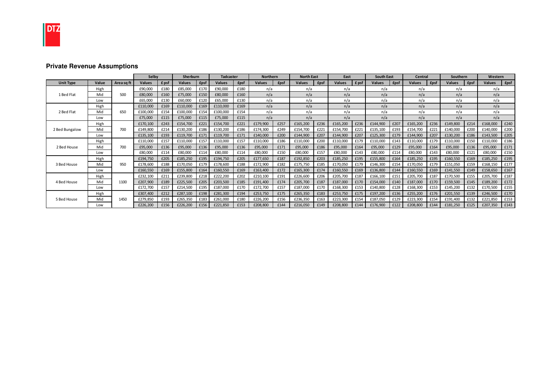

# **Private Revenue Assumptions**

|                  |       |            | Selby         |       | Sherburn      |      | <b>Tadcaster</b> |             | <b>Northern</b> |      | <b>North East</b> |             | East          |       | <b>South East</b> |      | Central       |             | Southern      |             | Western       |             |
|------------------|-------|------------|---------------|-------|---------------|------|------------------|-------------|-----------------|------|-------------------|-------------|---------------|-------|-------------------|------|---------------|-------------|---------------|-------------|---------------|-------------|
| <b>Unit Type</b> | Value | Area sq ft | <b>Values</b> | £ psf | <b>Values</b> | £psf | <b>Values</b>    | <b>£psf</b> | <b>Values</b>   | £psf | <b>Values</b>     | <b>£psf</b> | <b>Values</b> | £ psf | <b>Values</b>     | £psf | <b>Values</b> | <b>fpsf</b> | <b>Values</b> | <b>£psf</b> | <b>Values</b> | <b>£psf</b> |
|                  | High  |            | £90,000       | £180  | £85,000       | £170 | £90,000          | £180        | n/a             |      | n/a               |             | n/a           |       | n/a               |      | n/a           |             | n/a           |             | n/a           |             |
| 1 Bed Flat       | Mid   | 500        | £80,000       | £160  | £75,000       | £150 | £80,000          | £160        | n/a             |      | n/a               |             | n/a           |       | n/a               |      | n/a           |             | n/a           |             | n/a           |             |
|                  | Low   |            | £65,000       | £130  | £60,000       | £120 | £65,000          | £130        | n/a             |      | n/a               |             | n/a           |       | n/a               |      | n/a           |             | n/a           |             | n/a           |             |
|                  | High  |            | £110,000      | £169  | £110,000      | £169 | £110,000         | £169        | n/a             |      | n/a               |             | n/a           |       | n/a               |      | n/a           |             | n/a           |             | n/a           |             |
| 2 Bed Flat       | Mid   | 650        | £100,000      | £154  | £100,000      | £154 | £100,000         | £154        | n/a             |      | n/a               |             | n/a           |       | n/a               |      | n/a           |             | n/a           |             | n/a           |             |
|                  | Low   |            | £75,000       | £115  | £75,000       | £115 | £75,000          | £115        | n/a             |      | n/a               |             | n/a           |       | n/a               |      | n/a           |             | n/a           |             | n/a           |             |
|                  | High  |            | £170,100      | £243  | £154,700      | £221 | £154,700         | £221        | £179,900        | £257 | £165,200          | £236        | £165,200      | £236  | £144,900          | £207 | £165,200      | £236        | £149,800      | £214        | £168,000      | £240        |
| 2 Bed Bungalow   | Mid   | 700        | £149,800      | £214  | £130,200      | £186 | £130,200         | £186        | £174,300        | £249 | £154,700          | £221        | £154,700      | £221  | £135,100          | £193 | £154,700      | £221        | £140,000      | £200        | £140,000      | £200        |
|                  | Low   |            | £135,100      | £193  | £119,700      | £171 | £119,700         | £171        | £140,000        | £200 | £144,900          | £207        | £144,900      | £207  | £125,300          | £179 | £144,900      | £207        | £130,200      | £186        | £143,500      | £205        |
|                  | High  |            | £110,000      | £157  | £110,000      | £157 | £110,000         | £157        | £110,000        | £186 | £110,000          | £200        | £110,000      | £179  | £110,000          | £143 | £110,000      | £179        | £110,000      | £150        | £110,000      | £186        |
| 2 Bed House      | Mid   | 700        | £95,000       | £136  | £95,000       | £136 | £95,000          | £136        | £95,000         | £171 | £95,000           | £186        | £95,000       | £164  | £95,000           | £129 | £95,000       | £164        | £95,000       | £136        | £95,000       | £171        |
|                  | Low   |            | £80,000       | £114  | £80,000       | £114 | £80,000          | £114        | £80,000         | £150 | £80,000           | £157        | £80,000       | £143  | £80,000           | £114 | £80,000       | £143        | £80,000       | £121        | £80,000       | £150        |
|                  | High  |            | £194,750      | £205  | £185,250      | £195 | £194,750         | £205        | £177,650        | £187 | £192,850          | £203        | £185,250      | £195  | £155,800          | £164 | £185,250      | £195        | £160,550      | £169        | £185,250      | £195        |
| 3 Bed House      | Mid   | 950        | £178,600      | £188  | £170,050      | £179 | £178,600         | £188        | £172,900        | £182 | £175,750          | £185        | £170,050      | £179  | £146,300          | £154 | £170,050      | £179        | £151,050      | £159        | £168,150      | £177        |
|                  | Low   |            | £160,550      | £169  | £155,800      | £164 | £160,550         | £169        | £163,400        | £172 | £165,300          | £174        | £160,550      | £169  | £136,800          | £144 | £160,550      | £169        | £141,550      | £149        | £158,650      | £167        |
|                  | High  |            | £232.100      | £211  | £239,800      | £218 | £222.200         | £202        | £210,100        | £191 | £226,600          | £206        | £205,700      | £187  | £166,100          | £151 | £205,700      | £187        | £170,500      | £155        | £205,700      | £187        |
| 4 Bed House      | Mid   | 1100       | £207,900      | £189  | £225,500      | £205 | £203,500         | £185        | £191,400        | £174 | £205,700          | £187        | £187,000      | £170  | £154,000          | £140 | £187,000      | £170        | £159,500      | £145        | £189,200      | £172        |
|                  | Low   |            | £172,700      | £157  | £214,500      | £195 | £187,000         | £170        | £172,700        | £157 | £187,000          | £170        | £168,300      | £153  | £140,800          | £128 | £168,300      | £153        | £145,200      | £132        | £170,500      | £155        |
|                  | High  |            | £307,400      | £212  | £287,100      | £198 | £281,300         | £194        | £253,750        | £175 | £265,350          | £183        | £253,750      | £175  | £197,200          | £136 | £255,200      | £176        | £201,550      | £139        | £246,500      | £170        |
| 5 Bed House      | Mid   | 1450       | £279,850      | £193  | £265,350      | £183 | £261,000         | £180        | £226,200        | £156 | £236,350          | £163        | £223,300      | £154  | £187,050          | £129 | £223,300      | £154        | £191,400      | £132        | £221,850      | £153        |
|                  | Low   |            | £226,200      | £156  | £226,200      | £156 | £221,850         | £153        | £208,800        | £144 | £216,050          | £149        | £208,800      | £144  | £176,900          | £122 | £208,800      | £144        | £181,250      | £125        | £207,350      | £143        |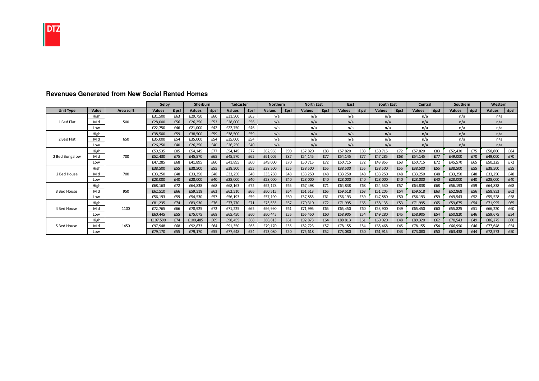

|                  |       |            | Selby         |       | Sherburn      |             | <b>Tadcaster</b> |      | <b>Northern</b> |             | <b>North East</b> |             | East          |       | <b>South East</b> |             | Central       |              | Southern      |              | Western |             |
|------------------|-------|------------|---------------|-------|---------------|-------------|------------------|------|-----------------|-------------|-------------------|-------------|---------------|-------|-------------------|-------------|---------------|--------------|---------------|--------------|---------|-------------|
| <b>Unit Type</b> | Value | Area sa ft | <b>Values</b> | £ psf | <b>Values</b> | <b>£psf</b> | <b>Values</b>    | £psf | <b>Values</b>   | <b>£psf</b> | <b>Values</b>     | <b>£psf</b> | <b>Values</b> | £ psf | <b>Values</b>     | <b>£psf</b> | <b>Values</b> | <b>f</b> psf | <b>Values</b> | <b>f</b> psf | Values  | <b>£psf</b> |
|                  | High  |            | £31,500       | £63   | £29,750       | £60         | £31,500          | £63  | n/a             |             | n/a               |             | n/a           |       | n/a               |             | n/a           |              | n/a           |              | n/a     |             |
| 1 Bed Flat       | Mid   | 500        | £28,000       | £56   | £26,250       | £53         | £28,000          | £56  | n/a             |             | n/a               |             | n/a           |       | n/a               |             | n/a           |              | n/a           |              | n/a     |             |
|                  | Low   |            | £22,750       | £46   | £21,000       | £42         | £22,750          | £46  | n/a             |             | n/a               |             | n/a           |       | n/a               |             | n/a           |              | n/a           |              | n/a     |             |
|                  | High  |            | £38,500       | £59   | £38,500       | £59         | £38,500          | £59  | n/a             |             | n/a               |             | n/a           |       | n/a               |             | n/a           |              | n/a           |              | n/a     |             |
| 2 Bed Flat       | Mid   | 650        | £35,000       | £54   | £35,000       | £54         | £35,000          | £54  | n/a             |             | n/a               |             | n/a           |       | n/a               |             | n/a           |              | n/a           |              | n/a     |             |
|                  | Low   |            | £26,250       | £40   | £26,250       | £40         | £26,250          | £40  | n/a             |             | n/a               |             | n/a           |       | n/a               |             | n/a           |              | n/a           |              | n/a     |             |
|                  | High  |            | £59,535       | £85   | £54,145       | £77         | £54,145          | £77  | £62,965         | £90         | £57,820           | £83         | £57,820       | £83   | £50,715           | £72         | £57,820       | £83          | £52,430       | £75          | £58,800 | £84         |
| 2 Bed Bungalow   | Mid   | 700        | £52,430       | £75   | £45,570       | £65         | £45,570          | £65  | £61,005         | £87         | £54,145           | £77         | £54,145       | £77   | £47,285           | £68         | £54,145       | £77          | £49,000       | £70          | £49,000 | £70         |
|                  | Low   |            | £47,285       | £68   | £41,895       | £60         | £41,895          | £60  | £49,000         | £70         | £50,715           | £72         | £50,715       | £72   | £43,855           | £63         | £50,715       | £72          | £45,570       | £65          | £50,225 | £72         |
|                  | High  |            | £38,500       | £55   | £38,500       | £55         | £38,500          | £55  | £38,500         | £55         | £38,500           | £55         | £38,500       | £55   | £38,500           | £55         | £38,500       | £55          | £38,500       | £55          | £38,500 | £55         |
| 2 Bed House      | Mid   | 700        | £33,250       | £48   | £33,250       | £48         | £33,250          | £48  | £33,250         | £48         | £33,250           | £48         | £33,250       | £48   | £33,250           | £48         | £33,250       | £48          | £33,250       | £48          | £33,250 | £48         |
|                  | Low   |            | £28,000       | £40   | £28,000       | £40         | £28,000          | £40  | £28,000         | £40         | £28,000           | £40         | £28,000       | £40   | £28,000           | £40         | £28,000       | f40          | £28,000       | f40          | £28,000 | £40         |
|                  | High  |            | £68,163       | £72   | £64,838       | £68         | £68,163          | £72  | £62,178         | £65         | £67,498           | £71         | £64,838       | £68   | £54,530           | £57         | £64,838       | £68          | £56,193       | £59          | £64,838 | £68         |
| 3 Bed House      | Mid   | 950        | £62,510       | £66   | £59,518       | £63         | £62,510          | £66  | £60,515         | £64         | £61,513           | £65         | £59,518       | £63   | £51,205           | £54         | £59,518       | £63          | £52,868       | £56          | £58,853 | £62         |
|                  | Low   |            | £56,193       | £59   | £54,530       | £57         | £56,193          | £59  | £57,190         | £60         | £57,855           | £61         | £56,193       | £59   | £47,880           | £50         | £56,193       | £59          | £49,543       | £52          | £55,528 | £58         |
|                  | High  |            | £81,235       | £74   | £83,930       | £76         | £77,770          | £71  | £73,535         | £67         | £79,310           | £72         | £71,995       | £65   | £58,135           | £53         | £71,995       | £65          | £59,675       | £54          | £71,995 | £65         |
| 4 Bed House      | Mid   | 1100       | £72,765       | £66   | £78,925       | £72         | £71,225          | £65  | £66,990         | £61         | £71,995           | £65         | £65,450       | £60   | £53,900           | £49         | £65,450       | £60          | £55,825       | £51          | £66,220 | £60         |
|                  | Low   |            | £60,445       | £55   | £75,075       | £68         | £65,450          | £60  | £60,445         | £55         | £65,450           | £60         | £58,905       | £54   | £49,280           | £45         | £58,905       | £54          | £50,820       | £46          | £59,675 | £54         |
|                  | High  |            | £107,590      | £74   | £100,485      | £69         | £98,455          | £68  | £88,813         | £61         | £92,873           | £64         | £88,813       | £61   | £69,020           | £48         | £89,320       | £62          | £70,543       | £49          | £86,275 | £60         |
| 5 Bed House      | Mid   | 1450       | £97,948       | £68   | £92,873       | £64         | £91,350          | £63  | £79,170         | £55         | £82,723           | £57         | £78,155       | £54   | £65,468           | £45         | £78,155       | £54          | £66,990       | £46          | £77,648 | £54         |
|                  | Low   |            | £79,170       | £55   | £79,170       | £55         | £77,648          | £54  | £73,080         | £50         | £75,618           | £52         | £73,080       | £50   | £61,915           | £43         | £73,080       | £50          | £63,438       | £44          | £72,573 | £50         |

# **Revenues Generated from New Social Rented Homes**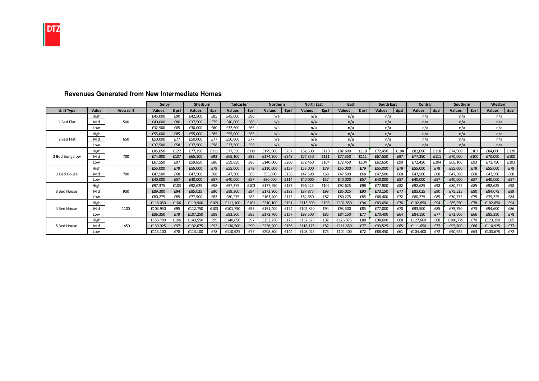

|                  |       |            | Selby         |       | Sherburn      |             | <b>Tadcaster</b> |             | <b>Northern</b> |              | <b>North East</b> |             | East          |       | <b>South East</b> |              | Central       |              | Southern      |              | Western  |             |
|------------------|-------|------------|---------------|-------|---------------|-------------|------------------|-------------|-----------------|--------------|-------------------|-------------|---------------|-------|-------------------|--------------|---------------|--------------|---------------|--------------|----------|-------------|
| <b>Unit Type</b> | Value | Area sa ft | <b>Values</b> | £ psf | <b>Values</b> | <b>£psf</b> | <b>Values</b>    | <b>£psf</b> | <b>Values</b>   | <b>f</b> psf | Values            | <b>£psf</b> | <b>Values</b> | £ psf | <b>Values</b>     | <b>f</b> psf | <b>Values</b> | <b>f</b> psf | <b>Values</b> | <b>f</b> psf | Values   | <b>£psf</b> |
|                  | High  |            | £45,000       | £90   | £42,500       | £85         | £45,000          | £90         | n/a             |              | n/a               |             | n/a           |       | n/a               |              | n/a           |              | n/a           |              | n/a      |             |
| 1 Bed Flat       | Mid   | 500        | £40,000       | £80   | £37,500       | £75         | £40,000          | £80         | n/a             |              | n/a               |             | n/a           |       | n/a               |              | n/a           |              | n/a           |              | n/a      |             |
|                  | Low   |            | £32,500       | £65   | £30,000       | £60         | £32,500          | £65         | n/a             |              | n/a               |             | n/a           |       | n/a               |              | n/a           |              | n/a           |              | n/a      |             |
|                  | High  |            | £55,000       | £85   | £55,000       | £85         | £55,000          | £85         | n/a             |              | n/a               |             | n/a           |       | n/a               |              | n/a           |              | n/a           |              | n/a      |             |
| 2 Bed Flat       | Mid   | 650        | £50,000       | £77   | £50,000       | £77         | £50,000          | £77         | n/a             |              | n/a               |             | n/a           |       | n/a               |              | n/a           |              | n/a           |              | n/a      |             |
|                  | Low   |            | £37,500       | £58   | £37,500       | £58         | £37,500          | £58         | n/a             |              | n/a               |             | n/a           |       | n/a               |              | n/a           |              | n/a           |              | n/a      |             |
|                  | High  |            | £85,050       | £122  | £77,350       | £111        | £77,350          | £111        | £179,900        | £257         | £82,600           | £118        | £82,600       | £118  | £72,450           | £104         | £82,600       | £118         | £74,900       | £107         | £84,000  | £120        |
| 2 Bed Bungalow   | Mid   | 700        | £74,900       | £107  | £65,100       | £93         | £65,100          | £93         | £174,300        | £249         | £77,350           | £111        | £77,350       | £111  | £67,550           | £97          | £77,350       | £111         | £70,000       | £100         | £70,000  | £100        |
|                  | Low   |            | £67,550       | £97   | £59,850       | £86         | £59,850          | £86         | £140,000        | £200         | £72,450           | £104        | £72,450       | £104  | £62,650           | £90          | £72,450       | £104         | £65,100       | £93          | £71,750  | £103        |
|                  | High  |            | £55,000       | £79   | £55,000       | £79         | £55,000          | £79         | £110,000        | £157         | £55,000           | £79         | £55,000       | £79   | £55,000           | £79          | £55,000       | £79          | £55,000       | £79          | £55,000  | £79         |
| 2 Bed House      | Mid   | 700        | £47,500       | £68   | £47,500       | £68         | £47,500          | £68         | £95,000         | £136         | £47,500           | £68         | £47,500       | £68   | £47,500           | £68          | £47,500       | £68          | £47,500       | £68          | £47,500  | £68         |
|                  | Low   |            | £40,000       | £57   | £40,000       | £57         | £40,000          | £57         | £80,000         | £114         | £40,000           | £57         | £40,000       | £57   | £40,000           | £57          | £40,000       | £57          | £40,000       | £57          | £40,000  | £57         |
|                  | High  |            | £97,375       | £103  | £92,625       | £98         | £97,375          | £103        | £177,650        | £187         | £96,425           | £102        | £92,625       | £98   | £77,900           | £82          | £92,625       | £98          | £80,275       | £85          | £92,625  | £98         |
| 3 Bed House      | Mid   | 950        | £89,300       | £94   | £85,025       | £90         | £89,300          | £94         | £172,900        | £182         | £87,875           | £93         | £85.025       | £90   | £73,150           | £77          | £85,025       | £90          | £75,525       | £80          | £84,075  | £89         |
|                  | Low   |            | £80,275       | £85   | £77,900       | £82         | £80,275          | £85         | £163,400        | £172         | £82,650           | £87         | £80,275       | £85   | £68,400           | £72          | £80,275       | £85          | £70,775       | £75          | £79,325  | £84         |
|                  | High  |            | £116,050      | £106  | £119,900      | £109        | £111,100         | £101        | £210,100        | £191         | £113,300          | £103        | £102,850      | £94   | £83,050           | £76          | £102,850      | £94          | £85,250       | £78          | £102,850 | £94         |
| 4 Bed House      | Mid   | 1100       | £103,950      | £95   | £112,750      | £103        | £101,750         | £93         | £191,400        | £174         | £102,850          | £94         | £93,500       | £85   | £77,000           | £70          | £93,500       | £85          | £79,750       | £73          | £94,600  | £86         |
|                  | Low   |            | £86,350       | £79   | £107,250      | £98         | £93,500          | £85         | £172,700        | £157         | £93,500           | £85         | £84,150       | £77   | £70,400           | £64          | £84,150       | £77          | £72,600       | £66          | £85,250  | £78         |
|                  | High  |            | £153,700      | £106  | £143,550      | £99         | £140,650         | £97         | £253,750        | £175         | £132,675          | £92         | £126,875      | £88   | £98,600           | £68          | £127,600      | £88          | £100,775      | £70          | £123,250 | £85         |
| 5 Bed House      | Mid   | 1450       | £139,925      | £97   | £132,675      | £92         | £130,500         | £90         | £226,200        | £156         | £118,175          | £82         | £111,650      | £77   | £93,525           | £65          | £111,650      | £77          | £95,700       | £66          | £110,925 | £77         |
|                  | Low   |            | £113,100      | £78   | £113,100      | £78         | £110,925         | £77         | £208,800        | £144         | £108,025          | £75         | £104,400      | £72   | £88,450           | £61          | £104,400      | <b>f72</b>   | £90,625       | £63          | £103,675 | £72         |

# **Revenues Generated from New Intermediate Homes**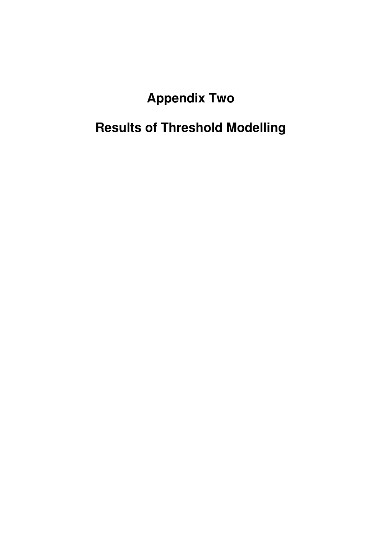# **Appendix Two**

# **Results of Threshold Modelling**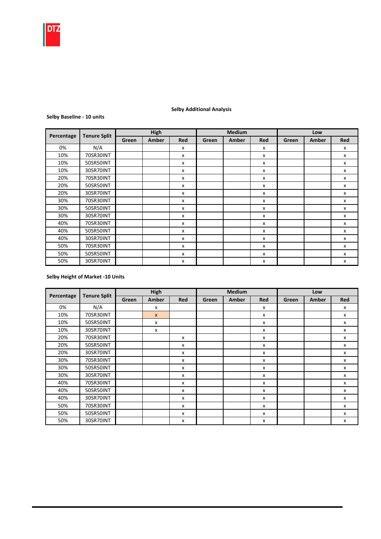

#### Green Amber Red Green Amber Red Green Amber Red 0% | N/A | | | | x | | | | x | | | | x 10% 70SR30INT | | x | | | x | | x | x 10% 50SR50INT x x x 10% 30SR70INT | | | x | | | | | | | | x 20% 70SR30INT | | | x | | | | | | | | x 20% 50SR50INT x x x 20% 30SR70INT | | | x | | | | | | | | x 30% 70SR30INT | | | x | | | | | | | | x 30% 50SR50INT x x x 30% 30SR70INT | | | x | | | | | | | | x 40% 70SR30INT | | | x | | | | | | | | x 40% 50SR50INT | | x | | | x | | x | x 40% 30SR70INT | | | x | | | | | | | | x 50% 70SR30INT | | | x | | | | | | | | x 50% 50SR50INT x x x 50% 30SR70INT | | | x | | | | | | | | x Low Percentage Tenure Split High High Medium

#### Selby Additional Analysis

#### Selby Baseline - 10 units

#### Selby Height of Market -10 Units

|            | <b>Tenure Split</b> |       | <b>High</b>  |                           |       | <b>Medium</b> |            |       | Low   |              |
|------------|---------------------|-------|--------------|---------------------------|-------|---------------|------------|-------|-------|--------------|
| Percentage |                     | Green | <b>Amber</b> | <b>Red</b>                | Green | Amber         | <b>Red</b> | Green | Amber | Red          |
| 0%         | N/A                 |       | x            |                           |       |               | x          |       |       | x            |
| 10%        | 70SR30INT           |       | X            |                           |       |               | x          |       |       | X            |
| 10%        | 50SR50INT           |       | x            |                           |       |               | x          |       |       | X            |
| 10%        | 30SR70INT           |       | x            |                           |       |               | x          |       |       | x            |
| 20%        | 70SR30INT           |       |              | X                         |       |               | x          |       |       | x            |
| 20%        | 50SR50INT           |       |              | X                         |       |               | x          |       |       | X            |
| 20%        | 30SR70INT           |       |              | $\mathsf{x}$              |       |               | x          |       |       | $\mathsf{x}$ |
| 30%        | 70SR30INT           |       |              | X                         |       |               | x          |       |       | X            |
| 30%        | 50SR50INT           |       |              | X                         |       |               | x          |       |       | x            |
| 30%        | 30SR70INT           |       |              | x                         |       |               | x          |       |       | x            |
| 40%        | 70SR30INT           |       |              | $\boldsymbol{\mathsf{x}}$ |       |               | x          |       |       | x            |
| 40%        | 50SR50INT           |       |              | $\boldsymbol{\mathsf{x}}$ |       |               | x          |       |       | X            |
| 40%        | 30SR70INT           |       |              | $\boldsymbol{\mathsf{x}}$ |       |               | x          |       |       | X            |
| 50%        | 70SR30INT           |       |              | X                         |       |               | x          |       |       | $\mathsf{x}$ |
| 50%        | 50SR50INT           |       |              | X                         |       |               | x          |       |       | x            |
| 50%        | 30SR70INT           |       |              | X                         |       |               | x          |       |       | X            |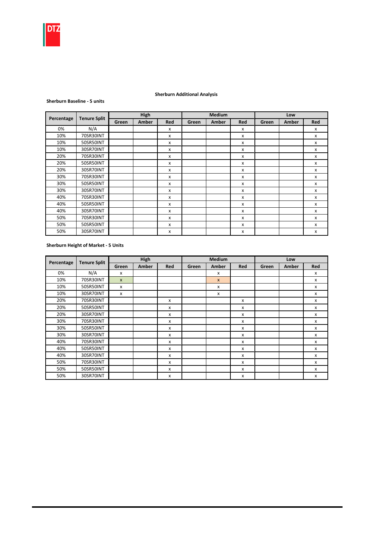

## Sherburn Additional Analysis

#### Sherburn Baseline - 5 units

|            |                     |       | High  |                           |       | <b>Medium</b> |            |       | Low   |     |
|------------|---------------------|-------|-------|---------------------------|-------|---------------|------------|-------|-------|-----|
| Percentage | <b>Tenure Split</b> | Green | Amber | Red                       | Green | Amber         | <b>Red</b> | Green | Amber | Red |
| 0%         | N/A                 |       |       | x                         |       |               | X          |       |       | X   |
| 10%        | 70SR30INT           |       |       | x                         |       |               | x          |       |       | x   |
| 10%        | 50SR50INT           |       |       | $\boldsymbol{\mathsf{x}}$ |       |               | x          |       |       | X   |
| 10%        | 30SR70INT           |       |       | $\boldsymbol{\mathsf{x}}$ |       |               | x          |       |       | x   |
| 20%        | 70SR30INT           |       |       | $\boldsymbol{\mathsf{x}}$ |       |               | x          |       |       | x   |
| 20%        | 50SR50INT           |       |       | $\boldsymbol{\mathsf{x}}$ |       |               | x          |       |       | X   |
| 20%        | 30SR70INT           |       |       | $\boldsymbol{\mathsf{x}}$ |       |               | X          |       |       | x   |
| 30%        | 70SR30INT           |       |       | $\boldsymbol{\mathsf{x}}$ |       |               | x          |       |       | X   |
| 30%        | 50SR50INT           |       |       | $\boldsymbol{\mathsf{x}}$ |       |               | x          |       |       | X   |
| 30%        | 30SR70INT           |       |       | $\boldsymbol{\mathsf{x}}$ |       |               | x          |       |       | X   |
| 40%        | 70SR30INT           |       |       | x                         |       |               | x          |       |       | X   |
| 40%        | 50SR50INT           |       |       | $\boldsymbol{\mathsf{x}}$ |       |               | x          |       |       | X   |
| 40%        | 30SR70INT           |       |       | x                         |       |               | x          |       |       | X   |
| 50%        | 70SR30INT           |       |       | $\boldsymbol{\mathsf{x}}$ |       |               | X          |       |       | X   |
| 50%        | 50SR50INT           |       |       | $\boldsymbol{\mathsf{x}}$ |       |               | x          |       |       | X   |
| 50%        | 30SR70INT           |       |       | $\boldsymbol{\mathsf{x}}$ |       |               | x          |       |       | X   |

# Sherburn Height of Market - 5 Units

| Percentage | <b>Tenure Split</b> |              | High         |                           |       | <b>Medium</b>             |     |       | Low   |     |
|------------|---------------------|--------------|--------------|---------------------------|-------|---------------------------|-----|-------|-------|-----|
|            |                     | Green        | <b>Amber</b> | Red                       | Green | <b>Amber</b>              | Red | Green | Amber | Red |
| 0%         | N/A                 | X            |              |                           |       | X                         |     |       |       | X   |
| 10%        | 70SR30INT           | $\mathsf{x}$ |              |                           |       | $\mathsf{x}$              |     |       |       | X   |
| 10%        | 50SR50INT           | x            |              |                           |       | $\boldsymbol{\mathsf{x}}$ |     |       |       | x   |
| 10%        | 30SR70INT           | x            |              |                           |       | x                         |     |       |       | X   |
| 20%        | 70SR30INT           |              |              | X                         |       |                           | x   |       |       | X   |
| 20%        | 50SR50INT           |              |              | X                         |       |                           | x   |       |       | x   |
| 20%        | 30SR70INT           |              |              | $\boldsymbol{\mathsf{x}}$ |       |                           | x   |       |       | x   |
| 30%        | 70SR30INT           |              |              | x                         |       |                           | X   |       |       | x   |
| 30%        | 50SR50INT           |              |              | x                         |       |                           | x   |       |       | x   |
| 30%        | 30SR70INT           |              |              | X                         |       |                           | x   |       |       | X   |
| 40%        | 70SR30INT           |              |              | x                         |       |                           | x   |       |       | x   |
| 40%        | 50SR50INT           |              |              | x                         |       |                           | x   |       |       | x   |
| 40%        | 30SR70INT           |              |              | X                         |       |                           | x   |       |       | x   |
| 50%        | 70SR30INT           |              |              | x                         |       |                           | x   |       |       | x   |
| 50%        | 50SR50INT           |              |              | x                         |       |                           | x   |       |       | x   |
| 50%        | 30SR70INT           |              |              | x                         |       |                           | x   |       |       | X   |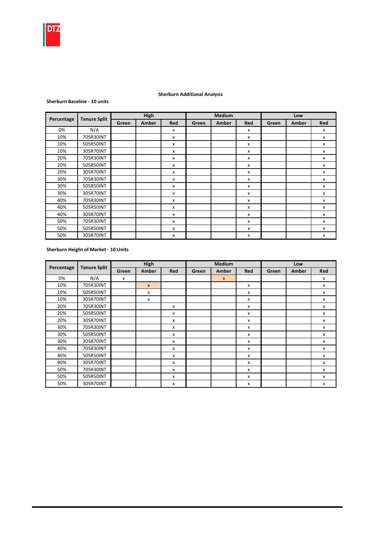

## Sherburn Additional Analysis

#### Sherburn Baseline - 10 units

|            |                     |       | High  |                           |       | <b>Medium</b> |            |       | Low   |     |
|------------|---------------------|-------|-------|---------------------------|-------|---------------|------------|-------|-------|-----|
| Percentage | <b>Tenure Split</b> | Green | Amber | <b>Red</b>                | Green | Amber         | <b>Red</b> | Green | Amber | Red |
| 0%         | N/A                 |       |       | $\boldsymbol{\mathsf{x}}$ |       |               | x          |       |       | x   |
| 10%        | 70SR30INT           |       |       | x                         |       |               | x          |       |       | x   |
| 10%        | 50SR50INT           |       |       | x                         |       |               | x          |       |       | x   |
| 10%        | 30SR70INT           |       |       | $\boldsymbol{\mathsf{x}}$ |       |               | x          |       |       | x   |
| 20%        | 70SR30INT           |       |       | x                         |       |               | x          |       |       | x   |
| 20%        | 50SR50INT           |       |       | x                         |       |               | x          |       |       | x   |
| 20%        | 30SR70INT           |       |       | x                         |       |               | x          |       |       | x   |
| 30%        | 70SR30INT           |       |       | $\boldsymbol{\mathsf{x}}$ |       |               | x          |       |       | x   |
| 30%        | 50SR50INT           |       |       | $\boldsymbol{\mathsf{x}}$ |       |               | x          |       |       | x   |
| 30%        | 30SR70INT           |       |       | $\boldsymbol{\mathsf{x}}$ |       |               | x          |       |       | x   |
| 40%        | 70SR30INT           |       |       | $\boldsymbol{\mathsf{x}}$ |       |               | x          |       |       | x   |
| 40%        | 50SR50INT           |       |       | $\boldsymbol{\mathsf{x}}$ |       |               | x          |       |       | x   |
| 40%        | 30SR70INT           |       |       | $\boldsymbol{\mathsf{x}}$ |       |               | x          |       |       | x   |
| 50%        | 70SR30INT           |       |       | $\boldsymbol{\mathsf{x}}$ |       |               | x          |       |       | x   |
| 50%        | 50SR50INT           |       |       | X                         |       |               | x          |       |       | x   |
| 50%        | 30SR70INT           |       |       | $\boldsymbol{\mathsf{x}}$ |       |               | x          |       |       | x   |

#### Sherburn Height of Market - 10 Units

|            | <b>Tenure Split</b> |       | High         |     |       | <b>Medium</b> |                           |       | Low   |     |
|------------|---------------------|-------|--------------|-----|-------|---------------|---------------------------|-------|-------|-----|
| Percentage |                     | Green | <b>Amber</b> | Red | Green | Amber         | <b>Red</b>                | Green | Amber | Red |
| 0%         | N/A                 | x     |              |     |       | $\mathsf{x}$  |                           |       |       | x   |
| 10%        | 70SR30INT           |       | $\mathsf{x}$ |     |       |               | x                         |       |       | x   |
| 10%        | 50SR50INT           |       | x            |     |       |               | x                         |       |       | x   |
| 10%        | 30SR70INT           |       | X            |     |       |               | X                         |       |       | x   |
| 20%        | 70SR30INT           |       |              | x   |       |               | X                         |       |       | x   |
| 20%        | 50SR50INT           |       |              | x   |       |               | x                         |       |       | x   |
| 20%        | 30SR70INT           |       |              | X   |       |               | x                         |       |       | x   |
| 30%        | 70SR30INT           |       |              | x   |       |               | x                         |       |       | x   |
| 30%        | 50SR50INT           |       |              | x   |       |               | x                         |       |       | x   |
| 30%        | 30SR70INT           |       |              | X   |       |               | $\boldsymbol{\mathsf{x}}$ |       |       | x   |
| 40%        | 70SR30INT           |       |              | X   |       |               | $\boldsymbol{\mathsf{x}}$ |       |       | x   |
| 40%        | 50SR50INT           |       |              | x   |       |               | x                         |       |       | x   |
| 40%        | 30SR70INT           |       |              | X   |       |               | x                         |       |       | x   |
| 50%        | 70SR30INT           |       |              | X   |       |               | X                         |       |       | x   |
| 50%        | 50SR50INT           |       |              | x   |       |               | x                         |       |       | x   |
| 50%        | 30SR70INT           |       |              | x   |       |               | x                         |       |       | x   |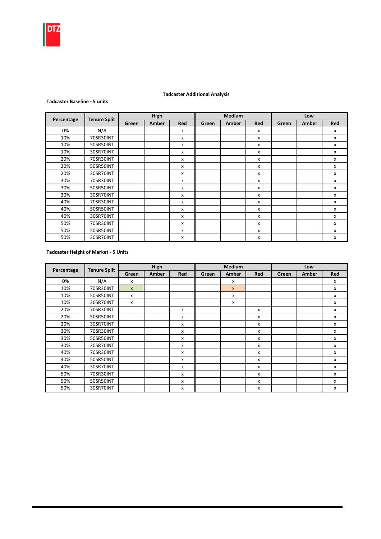

## Tadcaster Additional Analysis

#### Tadcaster Baseline - 5 units

|            |                     |       | High  |              |       | <b>Medium</b> |     |       | Low   |     |
|------------|---------------------|-------|-------|--------------|-------|---------------|-----|-------|-------|-----|
| Percentage | <b>Tenure Split</b> | Green | Amber | Red          | Green | Amber         | Red | Green | Amber | Red |
| 0%         | N/A                 |       |       | x            |       |               | x   |       |       | x   |
| 10%        | 70SR30INT           |       |       | x            |       |               | x   |       |       | x   |
| 10%        | 50SR50INT           |       |       | x            |       |               | x   |       |       | x   |
| 10%        | 30SR70INT           |       |       | x            |       |               | x   |       |       | x   |
| 20%        | 70SR30INT           |       |       | x            |       |               | x   |       |       | x   |
| 20%        | 50SR50INT           |       |       | x            |       |               | x   |       |       | x   |
| 20%        | 30SR70INT           |       |       | X            |       |               | x   |       |       | X   |
| 30%        | 70SR30INT           |       |       | X            |       |               | X   |       |       | x   |
| 30%        | 50SR50INT           |       |       | $\mathsf{x}$ |       |               | x   |       |       | x   |
| 30%        | 30SR70INT           |       |       | X            |       |               | X   |       |       | X   |
| 40%        | 70SR30INT           |       |       | x            |       |               | x   |       |       | x   |
| 40%        | 50SR50INT           |       |       | X            |       |               | x   |       |       | x   |
| 40%        | 30SR70INT           |       |       | X            |       |               | X   |       |       | x   |
| 50%        | 70SR30INT           |       |       | X            |       |               | x   |       |       | x   |
| 50%        | 50SR50INT           |       |       | X            |       |               | x   |       |       | x   |
| 50%        | 30SR70INT           |       |       | x            |       |               | x   |       |       | x   |

## Tadcaster Height of Market - 5 Units

| Percentage | <b>Tenure Split</b> |                | High  |            |       | <b>Medium</b>             |                           |       | Low   |     |
|------------|---------------------|----------------|-------|------------|-------|---------------------------|---------------------------|-------|-------|-----|
|            |                     | Green          | Amber | <b>Red</b> | Green | <b>Amber</b>              | Red                       | Green | Amber | Red |
| 0%         | N/A                 | X              |       |            |       | $\boldsymbol{\mathsf{x}}$ |                           |       |       | x   |
| 10%        | 70SR30INT           | $\pmb{\times}$ |       |            |       | $\boldsymbol{x}$          |                           |       |       | x   |
| 10%        | 50SR50INT           | $\mathsf{x}$   |       |            |       | X                         |                           |       |       | X   |
| 10%        | 30SR70INT           | X              |       |            |       | x                         |                           |       |       | x   |
| 20%        | 70SR30INT           |                |       | x          |       |                           | x                         |       |       | x   |
| 20%        | 50SR50INT           |                |       | x          |       |                           | x                         |       |       | x   |
| 20%        | 30SR70INT           |                |       | x          |       |                           | x                         |       |       | x   |
| 30%        | 70SR30INT           |                |       | X          |       |                           | $\mathsf{x}$              |       |       | x   |
| 30%        | 50SR50INT           |                |       | x          |       |                           | x                         |       |       | x   |
| 30%        | 30SR70INT           |                |       | x          |       |                           | x                         |       |       | x   |
| 40%        | 70SR30INT           |                |       | X          |       |                           | $\mathsf{x}$              |       |       | x   |
| 40%        | 50SR50INT           |                |       | X          |       |                           | $\mathsf{x}$              |       |       | x   |
| 40%        | 30SR70INT           |                |       | X          |       |                           | $\boldsymbol{\mathsf{x}}$ |       |       | x   |
| 50%        | 70SR30INT           |                |       | x          |       |                           | x                         |       |       | x   |
| 50%        | 50SR50INT           |                |       | x          |       |                           | $\boldsymbol{\mathsf{x}}$ |       |       | x   |
| 50%        | 30SR70INT           |                |       | x          |       |                           | x                         |       |       | x   |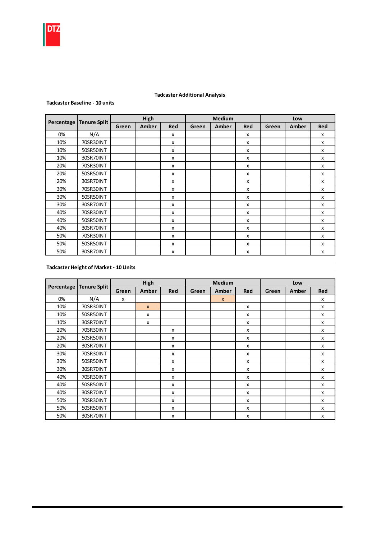

## Tadcaster Additional Analysis

#### Tadcaster Baseline - 10 units

|            | <b>Tenure Split</b> |       | High  |              |       | Medium |            |       | Low   |     |
|------------|---------------------|-------|-------|--------------|-------|--------|------------|-------|-------|-----|
| Percentage |                     | Green | Amber | <b>Red</b>   | Green | Amber  | <b>Red</b> | Green | Amber | Red |
| 0%         | N/A                 |       |       | x            |       |        | x          |       |       | x   |
| 10%        | 70SR30INT           |       |       | x            |       |        | x          |       |       | x   |
| 10%        | 50SR50INT           |       |       | x            |       |        | x          |       |       | x   |
| 10%        | 30SR70INT           |       |       | x            |       |        | x          |       |       | x   |
| 20%        | 70SR30INT           |       |       | x            |       |        | x          |       |       | x   |
| 20%        | 50SR50INT           |       |       | $\mathsf{x}$ |       |        | x          |       |       | X   |
| 20%        | 30SR70INT           |       |       | $\mathsf{x}$ |       |        | x          |       |       | X   |
| 30%        | 70SR30INT           |       |       | x            |       |        | x          |       |       | x   |
| 30%        | 50SR50INT           |       |       | $\mathsf{x}$ |       |        | x          |       |       | x   |
| 30%        | 30SR70INT           |       |       | x            |       |        | x          |       |       | x   |
| 40%        | 70SR30INT           |       |       | $\mathsf{x}$ |       |        | x          |       |       | x   |
| 40%        | 50SR50INT           |       |       | x            |       |        | x          |       |       | x   |
| 40%        | 30SR70INT           |       |       | x            |       |        | x          |       |       | x   |
| 50%        | 70SR30INT           |       |       | x            |       |        | x          |       |       | x   |
| 50%        | 50SR50INT           |       |       | x            |       |        | x          |       |       | X   |
| 50%        | 30SR70INT           |       |       | x            |       |        | x          |       |       | X   |

# Tadcaster Height of Market - 10 Units

| Percentage | <b>Tenure Split</b> |       | High         |              |       | <b>Medium</b> |     |       | Low   |                           |
|------------|---------------------|-------|--------------|--------------|-------|---------------|-----|-------|-------|---------------------------|
|            |                     | Green | Amber        | Red          | Green | Amber         | Red | Green | Amber | <b>Red</b>                |
| 0%         | N/A                 | x     |              |              |       | $\mathsf{x}$  |     |       |       | x                         |
| 10%        | 70SR30INT           |       | $\mathsf{x}$ |              |       |               | X   |       |       | X                         |
| 10%        | 50SR50INT           |       | x            |              |       |               | x   |       |       | $\boldsymbol{\mathsf{x}}$ |
| 10%        | 30SR70INT           |       | x            |              |       |               | x   |       |       | х                         |
| 20%        | 70SR30INT           |       |              | x            |       |               | х   |       |       | x                         |
| 20%        | 50SR50INT           |       |              | x            |       |               | x   |       |       | x                         |
| 20%        | 30SR70INT           |       |              | x            |       |               | X   |       |       | x                         |
| 30%        | 70SR30INT           |       |              | $\mathsf{x}$ |       |               | x   |       |       | X                         |
| 30%        | 50SR50INT           |       |              | x            |       |               | x   |       |       | x                         |
| 30%        | 30SR70INT           |       |              | x            |       |               | x   |       |       | $\boldsymbol{\mathsf{x}}$ |
| 40%        | 70SR30INT           |       |              | x            |       |               | x   |       |       | $\boldsymbol{\mathsf{x}}$ |
| 40%        | 50SR50INT           |       |              | x            |       |               | x   |       |       | X                         |
| 40%        | 30SR70INT           |       |              | X            |       |               | x   |       |       | x                         |
| 50%        | 70SR30INT           |       |              | x            |       |               | x   |       |       | X                         |
| 50%        | 50SR50INT           |       |              | x            |       |               | x   |       |       | x                         |
| 50%        | 30SR70INT           |       |              | x            |       |               | x   |       |       | X                         |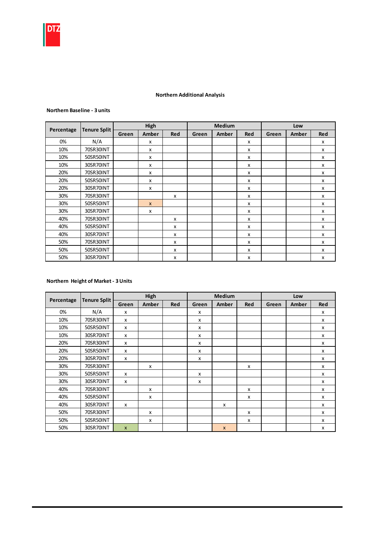

## Northern Additional Analysis

#### Northern Baseline - 3 units

|            |                     |       | High         |                           |       | <b>Medium</b> |            |       | Low   |            |
|------------|---------------------|-------|--------------|---------------------------|-------|---------------|------------|-------|-------|------------|
| Percentage | <b>Tenure Split</b> | Green | Amber        | <b>Red</b>                | Green | Amber         | <b>Red</b> | Green | Amber | <b>Red</b> |
| 0%         | N/A                 |       | X            |                           |       |               | X          |       |       | X          |
| 10%        | 70SR30INT           |       | x            |                           |       |               | x          |       |       | x          |
| 10%        | 50SR50INT           |       | x            |                           |       |               | x          |       |       | X          |
| 10%        | 30SR70INT           |       | x            |                           |       |               | X          |       |       | X          |
| 20%        | 70SR30INT           |       | x            |                           |       |               | X          |       |       | X          |
| 20%        | 50SR50INT           |       | x            |                           |       |               | X          |       |       | x          |
| 20%        | 30SR70INT           |       | x            |                           |       |               | x          |       |       | х          |
| 30%        | 70SR30INT           |       |              | X                         |       |               | x          |       |       | X          |
| 30%        | 50SR50INT           |       | $\mathsf{x}$ |                           |       |               | x          |       |       | X          |
| 30%        | 30SR70INT           |       | X            |                           |       |               | x          |       |       | X          |
| 40%        | 70SR30INT           |       |              | X                         |       |               | x          |       |       | x          |
| 40%        | 50SR50INT           |       |              | $\boldsymbol{\mathsf{x}}$ |       |               | x          |       |       | x          |
| 40%        | 30SR70INT           |       |              | X                         |       |               | X          |       |       | X          |
| 50%        | 70SR30INT           |       |              | X                         |       |               | x          |       |       | X          |
| 50%        | 50SR50INT           |       |              | X                         |       |               | x          |       |       | X          |
| 50%        | 30SR70INT           |       |              | x                         |       |               | x          |       |       | X          |

## Northern Height of Market - 3 Units

|            |                     |                           | High  |     |       | <b>Medium</b>    |     |       | Low   |                           |
|------------|---------------------|---------------------------|-------|-----|-------|------------------|-----|-------|-------|---------------------------|
| Percentage | <b>Tenure Split</b> | Green                     | Amber | Red | Green | Amber            | Red | Green | Amber | <b>Red</b>                |
| 0%         | N/A                 | x                         |       |     | x     |                  |     |       |       | X                         |
| 10%        | 70SR30INT           | $\boldsymbol{\mathsf{x}}$ |       |     | X     |                  |     |       |       | $\boldsymbol{\mathsf{x}}$ |
| 10%        | 50SR50INT           | X                         |       |     | x     |                  |     |       |       | $\boldsymbol{\mathsf{x}}$ |
| 10%        | 30SR70INT           | X                         |       |     | X     |                  |     |       |       | X                         |
| 20%        | 70SR30INT           | x                         |       |     | x     |                  |     |       |       | X                         |
| 20%        | 50SR50INT           | x                         |       |     | x     |                  |     |       |       | X                         |
| 20%        | 30SR70INT           | X                         |       |     | X     |                  |     |       |       | X                         |
| 30%        | 70SR30INT           |                           | X     |     |       |                  | X   |       |       | X                         |
| 30%        | 50SR50INT           | $\boldsymbol{\mathsf{x}}$ |       |     | X     |                  |     |       |       | X                         |
| 30%        | 30SR70INT           | x                         |       |     | x     |                  |     |       |       | X                         |
| 40%        | 70SR30INT           |                           | X     |     |       |                  | X   |       |       | X                         |
| 40%        | 50SR50INT           |                           | X     |     |       |                  | X   |       |       | X                         |
| 40%        | 30SR70INT           | X                         |       |     |       | x                |     |       |       | X                         |
| 50%        | 70SR30INT           |                           | X     |     |       |                  | X   |       |       | X                         |
| 50%        | 50SR50INT           |                           | x     |     |       |                  | x   |       |       | x                         |
| 50%        | 30SR70INT           | $\mathsf{x}$              |       |     |       | $\boldsymbol{x}$ |     |       |       | x                         |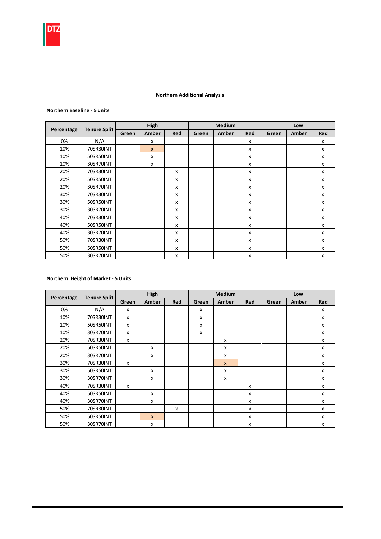#### Northern Additional Analysis

#### Northern Baseline - 5 units

|            |                     |       | High         |              |       | <b>Medium</b> |            |       | Low   |            |
|------------|---------------------|-------|--------------|--------------|-------|---------------|------------|-------|-------|------------|
| Percentage | <b>Tenure Split</b> | Green | Amber        | <b>Red</b>   | Green | Amber         | <b>Red</b> | Green | Amber | <b>Red</b> |
| 0%         | N/A                 |       | x            |              |       |               | x          |       |       | X          |
| 10%        | 70SR30INT           |       | $\mathsf{x}$ |              |       |               | x          |       |       | X          |
| 10%        | 50SR50INT           |       | X            |              |       |               | x          |       |       | X          |
| 10%        | 30SR70INT           |       | X            |              |       |               | x          |       |       | X          |
| 20%        | 70SR30INT           |       |              | $\mathsf{x}$ |       |               | X          |       |       | X          |
| 20%        | 50SR50INT           |       |              | $\mathsf{x}$ |       |               | x          |       |       | x          |
| 20%        | 30SR70INT           |       |              | x            |       |               | x          |       |       | x          |
| 30%        | 70SR30INT           |       |              | X            |       |               | X          |       |       | X          |
| 30%        | 50SR50INT           |       |              | X            |       |               | X          |       |       | X          |
| 30%        | 30SR70INT           |       |              | $\mathsf{x}$ |       |               | x          |       |       | x          |
| 40%        | 70SR30INT           |       |              | x            |       |               | x          |       |       | x          |
| 40%        | 50SR50INT           |       |              | x            |       |               | x          |       |       | x          |
| 40%        | 30SR70INT           |       |              | x            |       |               | X          |       |       | X          |
| 50%        | 70SR30INT           |       |              | x            |       |               | X          |       |       | X          |
| 50%        | 50SR50INT           |       |              | $\mathsf{x}$ |       |               | X          |       |       | x          |
| 50%        | 30SR70INT           |       |              | x            |       |               | X          |       |       | X          |

#### Northern Height of Market - 5 Units

|            | <b>Tenure Split</b> |       | High         |              |       | Medium       |              |       | Low          |            |
|------------|---------------------|-------|--------------|--------------|-------|--------------|--------------|-------|--------------|------------|
| Percentage |                     | Green | Amber        | <b>Red</b>   | Green | Amber        | <b>Red</b>   | Green | <b>Amber</b> | <b>Red</b> |
| 0%         | N/A                 | X     |              |              | x     |              |              |       |              | x          |
| 10%        | 70SR30INT           | X     |              |              | x     |              |              |       |              | x          |
| 10%        | 50SR50INT           | X     |              |              | x     |              |              |       |              | x          |
| 10%        | 30SR70INT           | X     |              |              | X     |              |              |       |              | X          |
| 20%        | 70SR30INT           | X     |              |              |       | x            |              |       |              | X          |
| 20%        | 50SR50INT           |       | х            |              |       | x            |              |       |              | x          |
| 20%        | 30SR70INT           |       | X            |              |       | X            |              |       |              | x          |
| 30%        | 70SR30INT           | X     |              |              |       | $\mathsf{x}$ |              |       |              | x          |
| 30%        | 50SR50INT           |       | x            |              |       | x            |              |       |              | X          |
| 30%        | 30SR70INT           |       | x            |              |       | x            |              |       |              | X          |
| 40%        | 70SR30INT           | x     |              |              |       |              | X            |       |              | X          |
| 40%        | 50SR50INT           |       | X            |              |       |              | X            |       |              | X          |
| 40%        | 30SR70INT           |       | X            |              |       |              | $\mathsf{x}$ |       |              | X          |
| 50%        | 70SR30INT           |       |              | $\mathsf{x}$ |       |              | $\mathsf{x}$ |       |              | X          |
| 50%        | 50SR50INT           |       | $\mathbf{x}$ |              |       |              | $\mathsf{x}$ |       |              | X          |
| 50%        | 30SR70INT           |       | x            |              |       |              | $\mathsf{x}$ |       |              | X          |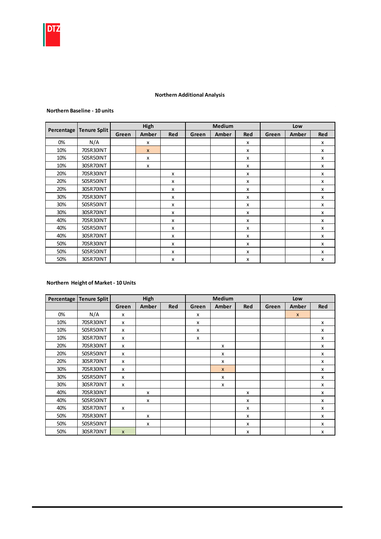

#### Northern Additional Analysis

#### Northern Baseline - 10 units

|            |                     |       | High         |     |       | <b>Medium</b> |            |       | Low   |     |
|------------|---------------------|-------|--------------|-----|-------|---------------|------------|-------|-------|-----|
| Percentage | <b>Tenure Split</b> | Green | Amber        | Red | Green | Amber         | <b>Red</b> | Green | Amber | Red |
| 0%         | N/A                 |       | X            |     |       |               | X          |       |       | X   |
| 10%        | 70SR30INT           |       | $\mathsf{x}$ |     |       |               | x          |       |       | X   |
| 10%        | 50SR50INT           |       | X            |     |       |               | X          |       |       | X   |
| 10%        | 30SR70INT           |       | x            |     |       |               | x          |       |       | x   |
| 20%        | 70SR30INT           |       |              | x   |       |               | X          |       |       | X   |
| 20%        | 50SR50INT           |       |              | x   |       |               | X          |       |       | X   |
| 20%        | 30SR70INT           |       |              | X   |       |               | X          |       |       | X   |
| 30%        | 70SR30INT           |       |              | x   |       |               | х          |       |       | X   |
| 30%        | 50SR50INT           |       |              | x   |       |               | x          |       |       | x   |
| 30%        | 30SR70INT           |       |              | X   |       |               | X          |       |       | X   |
| 40%        | 70SR30INT           |       |              | x   |       |               | x          |       |       | x   |
| 40%        | 50SR50INT           |       |              | x   |       |               | X          |       |       | X   |
| 40%        | 30SR70INT           |       |              | X   |       |               | x          |       |       | x   |
| 50%        | 70SR30INT           |       |              | x   |       |               | x          |       |       | X   |
| 50%        | 50SR50INT           |       |              | x   |       |               | x          |       |       | X   |
| 50%        | 30SR70INT           |       |              | X   |       |               | X          |       |       | X   |

## Northern Height of Market - 10 Units

| Percentage | <b>Tenure Split</b> |                | High  |     |       | <b>Medium</b> |            |       | Low   |                           |
|------------|---------------------|----------------|-------|-----|-------|---------------|------------|-------|-------|---------------------------|
|            |                     | Green          | Amber | Red | Green | Amber         | <b>Red</b> | Green | Amber | <b>Red</b>                |
| 0%         | N/A                 | x              |       |     | x     |               |            |       | X     |                           |
| 10%        | 70SR30INT           | x              |       |     | X     |               |            |       |       | $\mathsf{x}$              |
| 10%        | 50SR50INT           | x              |       |     | X     |               |            |       |       | $\boldsymbol{\mathsf{x}}$ |
| 10%        | 30SR70INT           | x              |       |     | X     |               |            |       |       | $\boldsymbol{\mathsf{x}}$ |
| 20%        | 70SR30INT           | x              |       |     |       | x             |            |       |       | x                         |
| 20%        | 50SR50INT           | x              |       |     |       | x             |            |       |       | x                         |
| 20%        | 30SR70INT           | x              |       |     |       | x             |            |       |       | x                         |
| 30%        | 70SR30INT           | x              |       |     |       | $\mathsf{x}$  |            |       |       | x                         |
| 30%        | 50SR50INT           | x              |       |     |       | X             |            |       |       | X                         |
| 30%        | 30SR70INT           | x              |       |     |       | X             |            |       |       | $\boldsymbol{\mathsf{x}}$ |
| 40%        | 70SR30INT           |                | x     |     |       |               | x          |       |       | $\boldsymbol{\mathsf{x}}$ |
| 40%        | 50SR50INT           |                | x     |     |       |               | x          |       |       | $\boldsymbol{\mathsf{x}}$ |
| 40%        | 30SR70INT           | x              |       |     |       |               | x          |       |       | x                         |
| 50%        | 70SR30INT           |                | x     |     |       |               | x          |       |       | X                         |
| 50%        | 50SR50INT           |                | x     |     |       |               | x          |       |       | x                         |
| 50%        | 30SR70INT           | $\pmb{\times}$ |       |     |       |               | x          |       |       | X                         |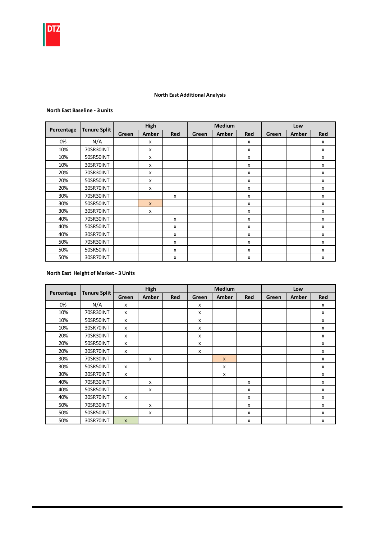

#### North East Additional Analysis

#### North East Baseline - 3 units

|            |                     |       | High         |     |       | <b>Medium</b> |     |       | Low   |            |
|------------|---------------------|-------|--------------|-----|-------|---------------|-----|-------|-------|------------|
| Percentage | <b>Tenure Split</b> | Green | Amber        | Red | Green | Amber         | Red | Green | Amber | <b>Red</b> |
| 0%         | N/A                 |       | X            |     |       |               | X   |       |       | X          |
| 10%        | 70SR30INT           |       | X            |     |       |               | X   |       |       | X          |
| 10%        | 50SR50INT           |       | X            |     |       |               | X   |       |       | X          |
| 10%        | 30SR70INT           |       | x            |     |       |               | x   |       |       | x          |
| 20%        | 70SR30INT           |       | X            |     |       |               | X   |       |       | x          |
| 20%        | 50SR50INT           |       | X            |     |       |               | X   |       |       | X          |
| 20%        | 30SR70INT           |       | X            |     |       |               | x   |       |       | x          |
| 30%        | 70SR30INT           |       |              | x   |       |               | x   |       |       | X          |
| 30%        | 50SR50INT           |       | $\mathsf{x}$ |     |       |               | x   |       |       | x          |
| 30%        | 30SR70INT           |       | X            |     |       |               | X   |       |       | x          |
| 40%        | 70SR30INT           |       |              | X   |       |               | X   |       |       | x          |
| 40%        | 50SR50INT           |       |              | x   |       |               | x   |       |       | X          |
| 40%        | 30SR70INT           |       |              | x   |       |               | x   |       |       | x          |
| 50%        | 70SR30INT           |       |              | x   |       |               | x   |       |       | x          |
| 50%        | 50SR50INT           |       |              | X   |       |               | X   |       |       | x          |
| 50%        | 30SR70INT           |       |              | x   |       |               | x   |       |       | x          |

#### North East Height of Market - 3 Units

|            | <b>Tenure Split</b> |                           | High  |     |       | <b>Medium</b> |            |       | Low   |                           |
|------------|---------------------|---------------------------|-------|-----|-------|---------------|------------|-------|-------|---------------------------|
| Percentage |                     | Green                     | Amber | Red | Green | Amber         | <b>Red</b> | Green | Amber | <b>Red</b>                |
| 0%         | N/A                 | X                         |       |     | x     |               |            |       |       | x                         |
| 10%        | 70SR30INT           | $\boldsymbol{\mathsf{x}}$ |       |     | x     |               |            |       |       | X                         |
| 10%        | 50SR50INT           | $\boldsymbol{\mathsf{x}}$ |       |     | x     |               |            |       |       | x                         |
| 10%        | 30SR70INT           | $\boldsymbol{\mathsf{x}}$ |       |     | X     |               |            |       |       | X                         |
| 20%        | 70SR30INT           | $\boldsymbol{\mathsf{x}}$ |       |     | X     |               |            |       |       | X                         |
| 20%        | 50SR50INT           | $\boldsymbol{\mathsf{x}}$ |       |     | x     |               |            |       |       | x                         |
| 20%        | 30SR70INT           | X                         |       |     | X     |               |            |       |       | x                         |
| 30%        | 70SR30INT           |                           | x     |     |       | $\mathsf{x}$  |            |       |       | x                         |
| 30%        | 50SR50INT           | $\boldsymbol{\mathsf{x}}$ |       |     |       | x             |            |       |       | X                         |
| 30%        | 30SR70INT           | $\boldsymbol{\mathsf{x}}$ |       |     |       | X             |            |       |       | X                         |
| 40%        | 70SR30INT           |                           | X     |     |       |               | x          |       |       | X                         |
| 40%        | 50SR50INT           |                           | x     |     |       |               | x          |       |       | $\boldsymbol{\mathsf{x}}$ |
| 40%        | 30SR70INT           | X                         |       |     |       |               | x          |       |       | X                         |
| 50%        | 70SR30INT           |                           | x     |     |       |               | X          |       |       | x                         |
| 50%        | 50SR50INT           |                           | x     |     |       |               | x          |       |       | x                         |
| 50%        | 30SR70INT           | $\boldsymbol{\mathsf{x}}$ |       |     |       |               | x          |       |       | x                         |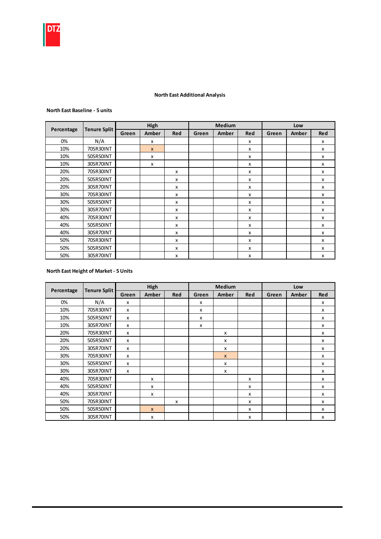

#### North East Additional Analysis

#### North East Baseline - 5 units

|            |                     |       | High         |              |       | <b>Medium</b> |              |       | Low   |            |
|------------|---------------------|-------|--------------|--------------|-------|---------------|--------------|-------|-------|------------|
| Percentage | <b>Tenure Split</b> | Green | Amber        | <b>Red</b>   | Green | Amber         | <b>Red</b>   | Green | Amber | <b>Red</b> |
| 0%         | N/A                 |       | X            |              |       |               | x            |       |       | x          |
| 10%        | 70SR30INT           |       | $\mathsf{x}$ |              |       |               | x            |       |       | X          |
| 10%        | 50SR50INT           |       | X            |              |       |               | $\mathsf{x}$ |       |       | X          |
| 10%        | 30SR70INT           |       | x            |              |       |               | x            |       |       | x          |
| 20%        | 70SR30INT           |       |              | $\mathsf{x}$ |       |               | x            |       |       | x          |
| 20%        | 50SR50INT           |       |              | $\mathsf{x}$ |       |               | x            |       |       | X          |
| 20%        | 30SR70INT           |       |              | x            |       |               | x            |       |       | x          |
| 30%        | 70SR30INT           |       |              | X            |       |               | $\mathsf{x}$ |       |       | X          |
| 30%        | 50SR50INT           |       |              | $\mathsf{x}$ |       |               | x            |       |       | x          |
| 30%        | 30SR70INT           |       |              | $\mathsf{x}$ |       |               | x            |       |       | x          |
| 40%        | 70SR30INT           |       |              | x            |       |               | x            |       |       | x          |
| 40%        | 50SR50INT           |       |              | x            |       |               | $\mathsf{x}$ |       |       | X          |
| 40%        | 30SR70INT           |       |              | x            |       |               | x            |       |       | x          |
| 50%        | 70SR30INT           |       |              | x            |       |               | $\mathsf{x}$ |       |       | X          |
| 50%        | 50SR50INT           |       |              | X            |       |               | $\mathsf{x}$ |       |       | X          |
| 50%        | 30SR70INT           |       |              | X            |       |               | X            |       |       | X          |

#### North East Height of Market - 5 Units

|            |                     |       | High         |              |       | <b>Medium</b> |              |       | Low   |                           |
|------------|---------------------|-------|--------------|--------------|-------|---------------|--------------|-------|-------|---------------------------|
| Percentage | <b>Tenure Split</b> | Green | <b>Amber</b> | <b>Red</b>   | Green | Amber         | Red          | Green | Amber | <b>Red</b>                |
| 0%         | N/A                 | x     |              |              | x     |               |              |       |       | x                         |
| 10%        | 70SR30INT           | X     |              |              | x     |               |              |       |       | x                         |
| 10%        | 50SR50INT           | x     |              |              | x     |               |              |       |       | x                         |
| 10%        | 30SR70INT           | х     |              |              | x     |               |              |       |       | x                         |
| 20%        | 70SR30INT           | х     |              |              |       | x             |              |       |       | X                         |
| 20%        | 50SR50INT           | X     |              |              |       | x             |              |       |       | x                         |
| 20%        | 30SR70INT           | X     |              |              |       | x             |              |       |       | X                         |
| 30%        | 70SR30INT           | X     |              |              |       | $\mathsf{x}$  |              |       |       | $\boldsymbol{\mathsf{x}}$ |
| 30%        | 50SR50INT           | X     |              |              |       | X             |              |       |       | x                         |
| 30%        | 30SR70INT           | X     |              |              |       | X             |              |       |       | X                         |
| 40%        | 70SR30INT           |       | X            |              |       |               | $\mathsf{x}$ |       |       | X                         |
| 40%        | 50SR50INT           |       | X            |              |       |               | $\mathsf{x}$ |       |       | $\mathsf{x}$              |
| 40%        | 30SR70INT           |       | X            |              |       |               | $\mathsf{x}$ |       |       | $\boldsymbol{\mathsf{x}}$ |
| 50%        | 70SR30INT           |       |              | $\mathsf{x}$ |       |               | $\mathsf{x}$ |       |       | $\mathsf{x}$              |
| 50%        | 50SR50INT           |       | $\mathsf{x}$ |              |       |               | X            |       |       | $\boldsymbol{\mathsf{x}}$ |
| 50%        | 30SR70INT           |       | x            |              |       |               | X            |       |       | X                         |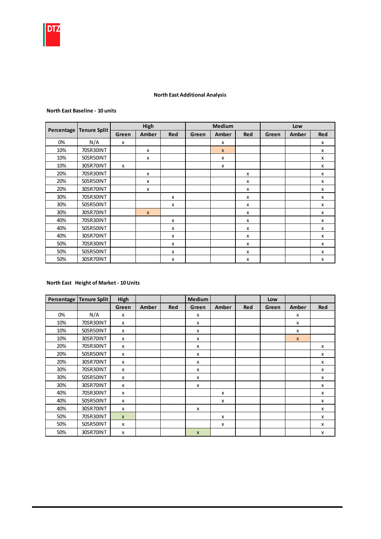

#### North East Additional Analysis

## North East Baseline - 10 units

|            |                     |       | High         |            |       | <b>Medium</b> |            |       | Low   |              |
|------------|---------------------|-------|--------------|------------|-------|---------------|------------|-------|-------|--------------|
| Percentage | <b>Tenure Split</b> | Green | Amber        | <b>Red</b> | Green | Amber         | <b>Red</b> | Green | Amber | Red          |
| 0%         | N/A                 | x     |              |            |       | X             |            |       |       | X            |
| 10%        | 70SR30INT           |       | x            |            |       | $\mathsf{x}$  |            |       |       | X            |
| 10%        | 50SR50INT           |       | x            |            |       | X             |            |       |       | x            |
| 10%        | 30SR70INT           | x     |              |            |       | x             |            |       |       | x            |
| 20%        | 70SR30INT           |       | x            |            |       |               | x          |       |       | x            |
| 20%        | 50SR50INT           |       | X            |            |       |               | X          |       |       | x            |
| 20%        | 30SR70INT           |       | x            |            |       |               | X          |       |       | x            |
| 30%        | 70SR30INT           |       |              | x          |       |               | x          |       |       | x            |
| 30%        | 50SR50INT           |       |              | x          |       |               | X          |       |       | $\mathsf{x}$ |
| 30%        | 30SR70INT           |       | $\mathsf{x}$ |            |       |               | x          |       |       | $\mathsf{x}$ |
| 40%        | 70SR30INT           |       |              | x          |       |               | X          |       |       | X            |
| 40%        | 50SR50INT           |       |              | x          |       |               | X          |       |       | X            |
| 40%        | 30SR70INT           |       |              | x          |       |               | X          |       |       | X            |
| 50%        | 70SR30INT           |       |              | x          |       |               | X          |       |       | x            |
| 50%        | 50SR50INT           |       |              | x          |       |               | x          |       |       | x            |
| 50%        | 30SR70INT           |       |              | x          |       |               | x          |       |       | x            |

## North East Height of Market - 10 Units

| Percentage | <b>Tenure Split</b> | High         |       |            | Medium       |       |            | Low   |              |                           |
|------------|---------------------|--------------|-------|------------|--------------|-------|------------|-------|--------------|---------------------------|
|            |                     | Green        | Amber | <b>Red</b> | Green        | Amber | <b>Red</b> | Green | Amber        | Red                       |
| 0%         | N/A                 | x            |       |            | X            |       |            |       | x            |                           |
| 10%        | 70SR30INT           | x            |       |            | x            |       |            |       | x            |                           |
| 10%        | 50SR50INT           | x            |       |            | X            |       |            |       | x            |                           |
| 10%        | 30SR70INT           | x            |       |            | X            |       |            |       | $\mathsf{x}$ |                           |
| 20%        | 70SR30INT           | x            |       |            | X            |       |            |       |              | x                         |
| 20%        | 50SR50INT           | x            |       |            | x            |       |            |       |              | x                         |
| 20%        | 30SR70INT           | x            |       |            | x            |       |            |       |              | x                         |
| 30%        | 70SR30INT           | x            |       |            | x            |       |            |       |              | x                         |
| 30%        | 50SR50INT           | x            |       |            | X            |       |            |       |              | X                         |
| 30%        | 30SR70INT           | x            |       |            | X            |       |            |       |              | X                         |
| 40%        | 70SR30INT           | x            |       |            |              | x     |            |       |              | $\boldsymbol{\mathsf{x}}$ |
| 40%        | 50SR50INT           | x            |       |            |              | x     |            |       |              | $\boldsymbol{\mathsf{x}}$ |
| 40%        | 30SR70INT           | x            |       |            | X            |       |            |       |              | $\boldsymbol{\mathsf{x}}$ |
| 50%        | 70SR30INT           | $\mathsf{x}$ |       |            |              | x     |            |       |              | X                         |
| 50%        | 50SR50INT           | x            |       |            |              | x     |            |       |              | x                         |
| 50%        | 30SR70INT           | x            |       |            | $\mathsf{x}$ |       |            |       |              | X                         |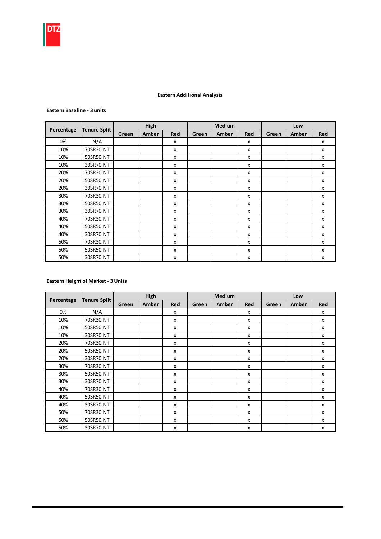

## Eastern Additional Analysis

#### Eastern Baseline - 3 units

|            |                     |       | High  |            |       | <b>Medium</b> |     |       | Low   |            |
|------------|---------------------|-------|-------|------------|-------|---------------|-----|-------|-------|------------|
| Percentage | <b>Tenure Split</b> | Green | Amber | <b>Red</b> | Green | Amber         | Red | Green | Amber | <b>Red</b> |
| 0%         | N/A                 |       |       | x          |       |               | x   |       |       | x          |
| 10%        | 70SR30INT           |       |       | x          |       |               | X   |       |       | X          |
| 10%        | 50SR50INT           |       |       | X          |       |               | X   |       |       | X          |
| 10%        | 30SR70INT           |       |       | x          |       |               | x   |       |       | X          |
| 20%        | 70SR30INT           |       |       | x          |       |               | X   |       |       | X          |
| 20%        | 50SR50INT           |       |       | X          |       |               | x   |       |       | x          |
| 20%        | 30SR70INT           |       |       | X          |       |               | x   |       |       | x          |
| 30%        | 70SR30INT           |       |       | x          |       |               | X   |       |       | X          |
| 30%        | 50SR50INT           |       |       | x          |       |               | x   |       |       | x          |
| 30%        | 30SR70INT           |       |       | x          |       |               | x   |       |       | x          |
| 40%        | 70SR30INT           |       |       | x          |       |               | x   |       |       | x          |
| 40%        | 50SR50INT           |       |       | x          |       |               | x   |       |       | x          |
| 40%        | 30SR70INT           |       |       | x          |       |               | X   |       |       | x          |
| 50%        | 70SR30INT           |       |       | x          |       |               | X   |       |       | x          |
| 50%        | 50SR50INT           |       |       | x          |       |               | x   |       |       | x          |
| 50%        | 30SR70INT           |       |       | x          |       |               | x   |       |       | x          |

## Eastern Height of Market - 3 Units

|            |                     |       | High  |     |       | <b>Medium</b> |     |       | Low   |            |
|------------|---------------------|-------|-------|-----|-------|---------------|-----|-------|-------|------------|
| Percentage | <b>Tenure Split</b> | Green | Amber | Red | Green | Amber         | Red | Green | Amber | <b>Red</b> |
| 0%         | N/A                 |       |       | x   |       |               | x   |       |       | x          |
| 10%        | 70SR30INT           |       |       | X   |       |               | x   |       |       | X          |
| 10%        | 50SR50INT           |       |       | x   |       |               | x   |       |       | x          |
| 10%        | 30SR70INT           |       |       | x   |       |               | x   |       |       | x          |
| 20%        | 70SR30INT           |       |       | x   |       |               | x   |       |       | x          |
| 20%        | 50SR50INT           |       |       | x   |       |               | x   |       |       | x          |
| 20%        | 30SR70INT           |       |       | x   |       |               | X   |       |       | x          |
| 30%        | 70SR30INT           |       |       | X   |       |               | X   |       |       | X          |
| 30%        | 50SR50INT           |       |       | x   |       |               | x   |       |       | x          |
| 30%        | 30SR70INT           |       |       | X   |       |               | x   |       |       | X          |
| 40%        | 70SR30INT           |       |       | X   |       |               | X   |       |       | X          |
| 40%        | 50SR50INT           |       |       | X   |       |               | X   |       |       | X          |
| 40%        | 30SR70INT           |       |       | x   |       |               | X   |       |       | X          |
| 50%        | 70SR30INT           |       |       | x   |       |               | x   |       |       | x          |
| 50%        | 50SR50INT           |       |       | x   |       |               | x   |       |       | x          |
| 50%        | 30SR70INT           |       |       | X   |       |               | x   |       |       | x          |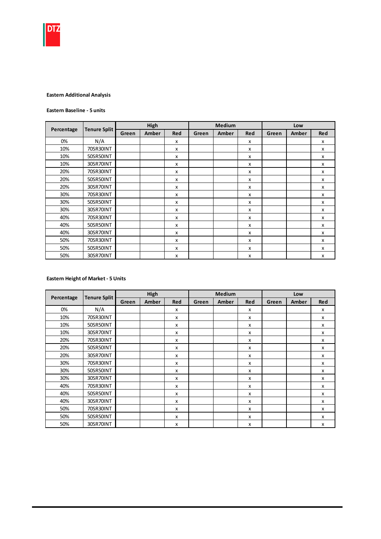

#### Eastern Additional Analysis

#### Eastern Baseline - 5 units

|            |                     |       | High         |              |       | <b>Medium</b> |              |       | Low   |                           |
|------------|---------------------|-------|--------------|--------------|-------|---------------|--------------|-------|-------|---------------------------|
| Percentage | <b>Tenure Split</b> | Green | <b>Amber</b> | <b>Red</b>   | Green | Amber         | <b>Red</b>   | Green | Amber | <b>Red</b>                |
| 0%         | N/A                 |       |              | X            |       |               | $\mathsf{x}$ |       |       | X                         |
| 10%        | 70SR30INT           |       |              | X            |       |               | X            |       |       | $\boldsymbol{\mathsf{x}}$ |
| 10%        | 50SR50INT           |       |              | X            |       |               | X            |       |       | X                         |
| 10%        | 30SR70INT           |       |              | x            |       |               | x            |       |       | $\boldsymbol{\mathsf{x}}$ |
| 20%        | 70SR30INT           |       |              | X            |       |               | $\mathsf{x}$ |       |       | X                         |
| 20%        | 50SR50INT           |       |              | X            |       |               | X            |       |       | X                         |
| 20%        | 30SR70INT           |       |              | X            |       |               | x            |       |       | X                         |
| 30%        | 70SR30INT           |       |              | X            |       |               | X            |       |       | X                         |
| 30%        | 50SR50INT           |       |              | $\mathsf{x}$ |       |               | x            |       |       | X                         |
| 30%        | 30SR70INT           |       |              | $\mathsf{x}$ |       |               | x            |       |       | x                         |
| 40%        | 70SR30INT           |       |              | $\mathsf{x}$ |       |               | X            |       |       | X                         |
| 40%        | 50SR50INT           |       |              | x            |       |               | x            |       |       | X                         |
| 40%        | 30SR70INT           |       |              | $\mathsf{x}$ |       |               | x            |       |       | x                         |
| 50%        | 70SR30INT           |       |              | $\mathsf{x}$ |       |               | x            |       |       | x                         |
| 50%        | 50SR50INT           |       |              | $\mathsf{x}$ |       |               | x            |       |       | x                         |
| 50%        | 30SR70INT           |       |              | X            |       |               | X            |       |       | X                         |

#### Eastern Height of Market - 5 Units

|            | <b>Tenure Split</b> |       | High         |              |       | Medium |                           |       | Low   |                           |
|------------|---------------------|-------|--------------|--------------|-------|--------|---------------------------|-------|-------|---------------------------|
| Percentage |                     | Green | <b>Amber</b> | <b>Red</b>   | Green | Amber  | <b>Red</b>                | Green | Amber | Red                       |
| 0%         | N/A                 |       |              | X            |       |        | X                         |       |       | x                         |
| 10%        | 70SR30INT           |       |              | X            |       |        | X                         |       |       | X                         |
| 10%        | 50SR50INT           |       |              | X            |       |        | X                         |       |       | X                         |
| 10%        | 30SR70INT           |       |              | $\mathsf{x}$ |       |        | $\boldsymbol{\mathsf{x}}$ |       |       | $\mathsf{x}$              |
| 20%        | 70SR30INT           |       |              | $\mathsf{x}$ |       |        | $\boldsymbol{\mathsf{x}}$ |       |       | $\mathsf{x}$              |
| 20%        | 50SR50INT           |       |              | $\mathsf{x}$ |       |        | $\mathsf{x}$              |       |       | $\mathsf{x}$              |
| 20%        | 30SR70INT           |       |              | $\mathsf{x}$ |       |        | $\boldsymbol{\mathsf{x}}$ |       |       | $\mathsf{x}$              |
| 30%        | 70SR30INT           |       |              | $\mathsf{x}$ |       |        | $\boldsymbol{\mathsf{x}}$ |       |       | $\mathsf{x}$              |
| 30%        | 50SR50INT           |       |              | $\mathsf{x}$ |       |        | $\mathsf{x}$              |       |       | x                         |
| 30%        | 30SR70INT           |       |              | X            |       |        | $\boldsymbol{\mathsf{x}}$ |       |       | X                         |
| 40%        | 70SR30INT           |       |              | $\mathsf{x}$ |       |        | $\boldsymbol{\mathsf{x}}$ |       |       | $\boldsymbol{\mathsf{x}}$ |
| 40%        | 50SR50INT           |       |              | X            |       |        | $\boldsymbol{\mathsf{x}}$ |       |       | X                         |
| 40%        | 30SR70INT           |       |              | $\mathsf{x}$ |       |        | $\boldsymbol{\mathsf{x}}$ |       |       | $\mathsf{x}$              |
| 50%        | 70SR30INT           |       |              | $\mathsf{x}$ |       |        | $\boldsymbol{\mathsf{x}}$ |       |       | $\boldsymbol{\mathsf{x}}$ |
| 50%        | 50SR50INT           |       |              | x            |       |        | X                         |       |       | x                         |
| 50%        | 30SR70INT           |       |              | $\mathsf{x}$ |       |        | X                         |       |       | $\mathsf{x}$              |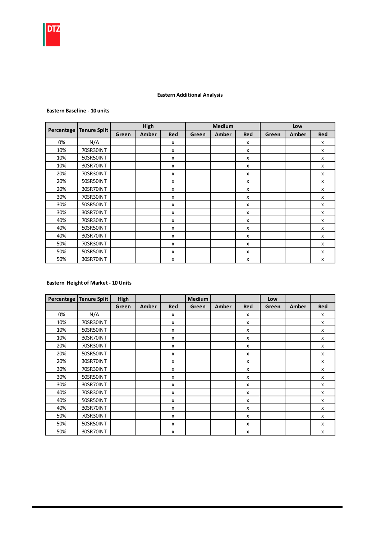## Eastern Additional Analysis

#### Eastern Baseline - 10 units

|            |                     |       | High  |            |       | <b>Medium</b> |            |       | Low   |                           |
|------------|---------------------|-------|-------|------------|-------|---------------|------------|-------|-------|---------------------------|
| Percentage | <b>Tenure Split</b> | Green | Amber | <b>Red</b> | Green | Amber         | <b>Red</b> | Green | Amber | Red                       |
| 0%         | N/A                 |       |       | x          |       |               | X          |       |       | X                         |
| 10%        | 70SR30INT           |       |       | x          |       |               | X          |       |       | X                         |
| 10%        | 50SR50INT           |       |       | x          |       |               | x          |       |       | x                         |
| 10%        | 30SR70INT           |       |       | x          |       |               | x          |       |       | x                         |
| 20%        | 70SR30INT           |       |       | x          |       |               | x          |       |       | x                         |
| 20%        | 50SR50INT           |       |       | x          |       |               | X          |       |       | $\boldsymbol{\mathsf{x}}$ |
| 20%        | 30SR70INT           |       |       | x          |       |               | X          |       |       | $\boldsymbol{\mathsf{x}}$ |
| 30%        | 70SR30INT           |       |       | x          |       |               | x          |       |       | $\boldsymbol{\mathsf{x}}$ |
| 30%        | 50SR50INT           |       |       | x          |       |               | X          |       |       | $\boldsymbol{\mathsf{x}}$ |
| 30%        | 30SR70INT           |       |       | x          |       |               | x          |       |       | х                         |
| 40%        | 70SR30INT           |       |       | x          |       |               | X          |       |       | X                         |
| 40%        | 50SR50INT           |       |       | x          |       |               | X          |       |       | X                         |
| 40%        | 30SR70INT           |       |       | x          |       |               | x          |       |       | X                         |
| 50%        | 70SR30INT           |       |       | x          |       |               | X          |       |       | X                         |
| 50%        | 50SR50INT           |       |       | x          |       |               | X          |       |       | x                         |
| 50%        | 30SR70INT           |       |       | x          |       |               | X          |       |       | x                         |

## Eastern Height of Market - 10 Units

| Percentage | <b>Tenure Split</b> | High  |       |                           | <b>Medium</b> |       |            | Low   |       |                           |
|------------|---------------------|-------|-------|---------------------------|---------------|-------|------------|-------|-------|---------------------------|
|            |                     | Green | Amber | <b>Red</b>                | Green         | Amber | <b>Red</b> | Green | Amber | Red                       |
| 0%         | N/A                 |       |       | x                         |               |       | x          |       |       | x                         |
| 10%        | 70SR30INT           |       |       | x                         |               |       | x          |       |       | $\mathsf{x}$              |
| 10%        | 50SR50INT           |       |       | X                         |               |       | x          |       |       | $\boldsymbol{\mathsf{x}}$ |
| 10%        | 30SR70INT           |       |       | x                         |               |       | x          |       |       | $\boldsymbol{\mathsf{x}}$ |
| 20%        | 70SR30INT           |       |       | x                         |               |       | x          |       |       | x                         |
| 20%        | 50SR50INT           |       |       | x                         |               |       | x          |       |       | x                         |
| 20%        | 30SR70INT           |       |       | x                         |               |       | x          |       |       | x                         |
| 30%        | 70SR30INT           |       |       | x                         |               |       | x          |       |       | $\boldsymbol{\mathsf{x}}$ |
| 30%        | 50SR50INT           |       |       | $\boldsymbol{\mathsf{x}}$ |               |       | x          |       |       | $\boldsymbol{\mathsf{x}}$ |
| 30%        | 30SR70INT           |       |       | x                         |               |       | x          |       |       | $\mathsf{x}$              |
| 40%        | 70SR30INT           |       |       | x                         |               |       | x          |       |       | X                         |
| 40%        | 50SR50INT           |       |       | x                         |               |       | x          |       |       | x                         |
| 40%        | 30SR70INT           |       |       | x                         |               |       | x          |       |       | X                         |
| 50%        | 70SR30INT           |       |       | x                         |               |       | x          |       |       | X                         |
| 50%        | 50SR50INT           |       |       | X                         |               |       | x          |       |       | x                         |
| 50%        | 30SR70INT           |       |       | x                         |               |       | x          |       |       | x                         |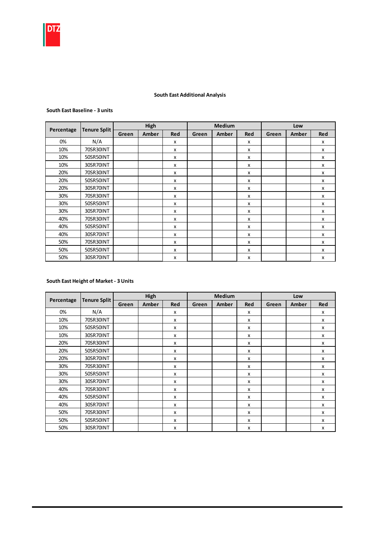

## South East Additional Analysis

#### South East Baseline - 3 units

|            |                     |       | High  |            |       | <b>Medium</b> |     |       | Low   |            |
|------------|---------------------|-------|-------|------------|-------|---------------|-----|-------|-------|------------|
| Percentage | <b>Tenure Split</b> | Green | Amber | <b>Red</b> | Green | Amber         | Red | Green | Amber | <b>Red</b> |
| 0%         | N/A                 |       |       | X          |       |               | x   |       |       | X          |
| 10%        | 70SR30INT           |       |       | X          |       |               | X   |       |       | X          |
| 10%        | 50SR50INT           |       |       | x          |       |               | X   |       |       | x          |
| 10%        | 30SR70INT           |       |       | x          |       |               | x   |       |       | x          |
| 20%        | 70SR30INT           |       |       | x          |       |               | x   |       |       | x          |
| 20%        | 50SR50INT           |       |       | X          |       |               | x   |       |       | x          |
| 20%        | 30SR70INT           |       |       | x          |       |               | x   |       |       | x          |
| 30%        | 70SR30INT           |       |       | X          |       |               | X   |       |       | X          |
| 30%        | 50SR50INT           |       |       | X          |       |               | X   |       |       | X          |
| 30%        | 30SR70INT           |       |       | X          |       |               | X   |       |       | X          |
| 40%        | 70SR30INT           |       |       | x          |       |               | x   |       |       | x          |
| 40%        | 50SR50INT           |       |       | x          |       |               | x   |       |       | x          |
| 40%        | 30SR70INT           |       |       | x          |       |               | x   |       |       | x          |
| 50%        | 70SR30INT           |       |       | x          |       |               | x   |       |       | x          |
| 50%        | 50SR50INT           |       |       | x          |       |               | x   |       |       | x          |
| 50%        | 30SR70INT           |       |       | x          |       |               | x   |       |       | x          |

## South East Height of Market - 3 Units

|            | <b>Tenure Split</b> |       | High  |     |       | <b>Medium</b> |     |       | Low   |            |
|------------|---------------------|-------|-------|-----|-------|---------------|-----|-------|-------|------------|
| Percentage |                     | Green | Amber | Red | Green | Amber         | Red | Green | Amber | <b>Red</b> |
| 0%         | N/A                 |       |       | x   |       |               | x   |       |       | x          |
| 10%        | 70SR30INT           |       |       | x   |       |               | x   |       |       | X          |
| 10%        | 50SR50INT           |       |       | x   |       |               | x   |       |       | X          |
| 10%        | 30SR70INT           |       |       | x   |       |               | x   |       |       | x          |
| 20%        | 70SR30INT           |       |       | x   |       |               | x   |       |       | х          |
| 20%        | 50SR50INT           |       |       | x   |       |               | X   |       |       | X          |
| 20%        | 30SR70INT           |       |       | X   |       |               | x   |       |       | x          |
| 30%        | 70SR30INT           |       |       | x   |       |               | x   |       |       | x          |
| 30%        | 50SR50INT           |       |       | X   |       |               | x   |       |       | X          |
| 30%        | 30SR70INT           |       |       | X   |       |               | X   |       |       | x          |
| 40%        | 70SR30INT           |       |       | X   |       |               | X   |       |       | X          |
| 40%        | 50SR50INT           |       |       | x   |       |               | x   |       |       | x          |
| 40%        | 30SR70INT           |       |       | x   |       |               | x   |       |       | X          |
| 50%        | 70SR30INT           |       |       | x   |       |               | X   |       |       | X          |
| 50%        | 50SR50INT           |       |       | x   |       |               | X   |       |       | x          |
| 50%        | 30SR70INT           |       |       | x   |       |               | X   |       |       | X          |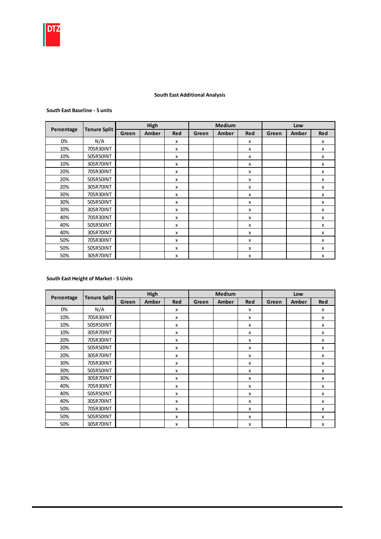

#### South East Additional Analysis

#### South East Baseline - 5 units

|            |                     |       | High  |              |       | <b>Medium</b> |            |       | Low   |            |
|------------|---------------------|-------|-------|--------------|-------|---------------|------------|-------|-------|------------|
| Percentage | <b>Tenure Split</b> | Green | Amber | Red          | Green | Amber         | <b>Red</b> | Green | Amber | <b>Red</b> |
| 0%         | N/A                 |       |       | X            |       |               | x          |       |       | x          |
| 10%        | 70SR30INT           |       |       | x            |       |               | x          |       |       | X          |
| 10%        | 50SR50INT           |       |       | x            |       |               | x          |       |       | X          |
| 10%        | 30SR70INT           |       |       | X            |       |               | x          |       |       | X          |
| 20%        | 70SR30INT           |       |       | X            |       |               | X          |       |       | X          |
| 20%        | 50SR50INT           |       |       | $\mathsf{x}$ |       |               | x          |       |       | x          |
| 20%        | 30SR70INT           |       |       | x            |       |               | x          |       |       | x          |
| 30%        | 70SR30INT           |       |       | X            |       |               | X          |       |       | X          |
| 30%        | 50SR50INT           |       |       | X            |       |               | X          |       |       | X          |
| 30%        | 30SR70INT           |       |       | $\mathsf{x}$ |       |               | x          |       |       | x          |
| 40%        | 70SR30INT           |       |       | X            |       |               | x          |       |       | x          |
| 40%        | 50SR50INT           |       |       | X            |       |               | x          |       |       | x          |
| 40%        | 30SR70INT           |       |       | X            |       |               | X          |       |       | X          |
| 50%        | 70SR30INT           |       |       | X            |       |               | X          |       |       | X          |
| 50%        | 50SR50INT           |       |       | $\mathsf{x}$ |       |               | X          |       |       | x          |
| 50%        | 30SR70INT           |       |       | X            |       |               | X          |       |       | X          |

#### South East Height of Market - 5 Units

|            | <b>Tenure Split</b> |       | High         |              |       | Medium |                           |       | Low   |                           |
|------------|---------------------|-------|--------------|--------------|-------|--------|---------------------------|-------|-------|---------------------------|
| Percentage |                     | Green | <b>Amber</b> | <b>Red</b>   | Green | Amber  | <b>Red</b>                | Green | Amber | <b>Red</b>                |
| 0%         | N/A                 |       |              | X            |       |        | X                         |       |       | x                         |
| 10%        | 70SR30INT           |       |              | X            |       |        | $\boldsymbol{\mathsf{x}}$ |       |       | X                         |
| 10%        | 50SR50INT           |       |              | $\mathsf{x}$ |       |        | x                         |       |       | $\mathsf{x}$              |
| 10%        | 30SR70INT           |       |              | x            |       |        | x                         |       |       | $\mathsf{x}$              |
| 20%        | 70SR30INT           |       |              | $\mathsf{x}$ |       |        | $\boldsymbol{\mathsf{x}}$ |       |       | x                         |
| 20%        | 50SR50INT           |       |              | $\mathsf{x}$ |       |        | X                         |       |       | X                         |
| 20%        | 30SR70INT           |       |              | $\mathsf{x}$ |       |        | $\boldsymbol{\mathsf{x}}$ |       |       | $\mathsf{x}$              |
| 30%        | 70SR30INT           |       |              | $\mathsf{x}$ |       |        | $\boldsymbol{\mathsf{x}}$ |       |       | $\boldsymbol{\mathsf{x}}$ |
| 30%        | 50SR50INT           |       |              | $\mathsf{x}$ |       |        | $\boldsymbol{\mathsf{x}}$ |       |       | $\mathsf{x}$              |
| 30%        | 30SR70INT           |       |              | X            |       |        | X                         |       |       | X                         |
| 40%        | 70SR30INT           |       |              | X            |       |        | $\boldsymbol{\mathsf{x}}$ |       |       | $\mathsf{x}$              |
| 40%        | 50SR50INT           |       |              | $\mathsf{x}$ |       |        | $\mathsf{x}$              |       |       | $\mathsf{x}$              |
| 40%        | 30SR70INT           |       |              | $\mathsf{x}$ |       |        | $\boldsymbol{\mathsf{x}}$ |       |       | $\boldsymbol{\mathsf{x}}$ |
| 50%        | 70SR30INT           |       |              | X            |       |        | $\mathsf{x}$              |       |       | $\mathsf{x}$              |
| 50%        | 50SR50INT           |       |              | $\mathsf{x}$ |       |        | $\boldsymbol{\mathsf{x}}$ |       |       | $\boldsymbol{\mathsf{x}}$ |
| 50%        | 30SR70INT           |       |              | X            |       |        | X                         |       |       | X                         |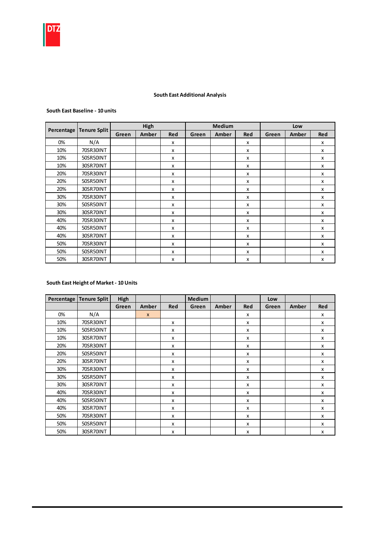

## South East Additional Analysis

#### South East Baseline - 10 units

|            |                     |       | High  |            |       | <b>Medium</b> |            |       | Low   |                           |
|------------|---------------------|-------|-------|------------|-------|---------------|------------|-------|-------|---------------------------|
| Percentage | <b>Tenure Split</b> | Green | Amber | <b>Red</b> | Green | Amber         | <b>Red</b> | Green | Amber | Red                       |
| 0%         | N/A                 |       |       | x          |       |               | X          |       |       | X                         |
| 10%        | 70SR30INT           |       |       | x          |       |               | X          |       |       | X                         |
| 10%        | 50SR50INT           |       |       | x          |       |               | x          |       |       | x                         |
| 10%        | 30SR70INT           |       |       | x          |       |               | x          |       |       | x                         |
| 20%        | 70SR30INT           |       |       | x          |       |               | x          |       |       | x                         |
| 20%        | 50SR50INT           |       |       | x          |       |               | X          |       |       | $\boldsymbol{\mathsf{x}}$ |
| 20%        | 30SR70INT           |       |       | x          |       |               | X          |       |       | $\boldsymbol{\mathsf{x}}$ |
| 30%        | 70SR30INT           |       |       | x          |       |               | x          |       |       | $\boldsymbol{\mathsf{x}}$ |
| 30%        | 50SR50INT           |       |       | x          |       |               | X          |       |       | $\boldsymbol{\mathsf{x}}$ |
| 30%        | 30SR70INT           |       |       | x          |       |               | х          |       |       | х                         |
| 40%        | 70SR30INT           |       |       | x          |       |               | X          |       |       | X                         |
| 40%        | 50SR50INT           |       |       | x          |       |               | X          |       |       | X                         |
| 40%        | 30SR70INT           |       |       | x          |       |               | x          |       |       | X                         |
| 50%        | 70SR30INT           |       |       | x          |       |               | X          |       |       | X                         |
| 50%        | 50SR50INT           |       |       | x          |       |               | X          |       |       | x                         |
| 50%        | 30SR70INT           |       |       | x          |       |               | X          |       |       | x                         |

#### South East Height of Market - 10 Units

| Percentage | <b>Tenure Split</b> | High  |              |            | <b>Medium</b> |       |            | Low   |       |                           |
|------------|---------------------|-------|--------------|------------|---------------|-------|------------|-------|-------|---------------------------|
|            |                     | Green | Amber        | <b>Red</b> | Green         | Amber | <b>Red</b> | Green | Amber | Red                       |
| 0%         | N/A                 |       | $\mathsf{x}$ |            |               |       | x          |       |       | x                         |
| 10%        | 70SR30INT           |       |              | x          |               |       | X          |       |       | $\mathsf{x}$              |
| 10%        | 50SR50INT           |       |              | x          |               |       | X          |       |       | $\mathsf{x}$              |
| 10%        | 30SR70INT           |       |              | x          |               |       | X          |       |       | $\boldsymbol{\mathsf{x}}$ |
| 20%        | 70SR30INT           |       |              | x          |               |       | x          |       |       | x                         |
| 20%        | 50SR50INT           |       |              | x          |               |       | x          |       |       | x                         |
| 20%        | 30SR70INT           |       |              | x          |               |       | x          |       |       | x                         |
| 30%        | 70SR30INT           |       |              | x          |               |       | x          |       |       | $\boldsymbol{\mathsf{x}}$ |
| 30%        | 50SR50INT           |       |              | x          |               |       | X          |       |       | $\boldsymbol{\mathsf{x}}$ |
| 30%        | 30SR70INT           |       |              | x          |               |       | X          |       |       | $\mathsf{x}$              |
| 40%        | 70SR30INT           |       |              | x          |               |       | X          |       |       | $\boldsymbol{\mathsf{x}}$ |
| 40%        | 50SR50INT           |       |              | x          |               |       | X          |       |       | x                         |
| 40%        | 30SR70INT           |       |              | x          |               |       | х          |       |       | X                         |
| 50%        | 70SR30INT           |       |              | x          |               |       | x          |       |       | X                         |
| 50%        | 50SR50INT           |       |              | x          |               |       | X          |       |       | x                         |
| 50%        | 30SR70INT           |       |              | x          |               |       | x          |       |       | x                         |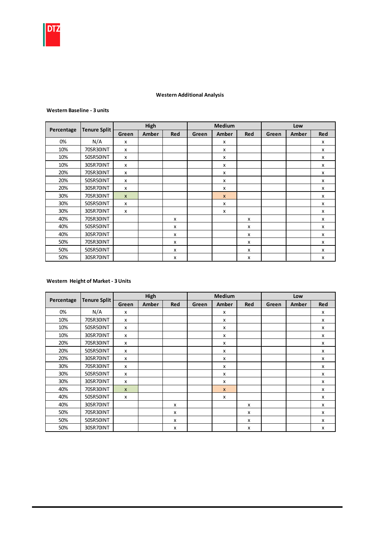

## Western Additional Analysis

#### Western Baseline - 3 units

|            |                     |                           | High  |            |       | <b>Medium</b> |            |       | Low   |                           |
|------------|---------------------|---------------------------|-------|------------|-------|---------------|------------|-------|-------|---------------------------|
| Percentage | <b>Tenure Split</b> | Green                     | Amber | <b>Red</b> | Green | Amber         | <b>Red</b> | Green | Amber | <b>Red</b>                |
| 0%         | N/A                 | X                         |       |            |       | x             |            |       |       | x                         |
| 10%        | 70SR30INT           | $\boldsymbol{\mathsf{x}}$ |       |            |       | x             |            |       |       | X                         |
| 10%        | 50SR50INT           | $\boldsymbol{\mathsf{x}}$ |       |            |       | x             |            |       |       | X                         |
| 10%        | 30SR70INT           | X                         |       |            |       | x             |            |       |       | X                         |
| 20%        | 70SR30INT           | X                         |       |            |       | x             |            |       |       | X                         |
| 20%        | 50SR50INT           | $\boldsymbol{\mathsf{x}}$ |       |            |       | x             |            |       |       | $\boldsymbol{\mathsf{x}}$ |
| 20%        | 30SR70INT           | $\boldsymbol{\mathsf{x}}$ |       |            |       | x             |            |       |       | $\boldsymbol{\mathsf{x}}$ |
| 30%        | 70SR30INT           | $\mathsf{x}$              |       |            |       | $\mathsf{x}$  |            |       |       | X                         |
| 30%        | 50SR50INT           | X                         |       |            |       | x             |            |       |       | x                         |
| 30%        | 30SR70INT           | X                         |       |            |       | x             |            |       |       | X                         |
| 40%        | 70SR30INT           |                           |       | X          |       |               | X          |       |       | X                         |
| 40%        | 50SR50INT           |                           |       | X          |       |               | x          |       |       | $\boldsymbol{\mathsf{x}}$ |
| 40%        | 30SR70INT           |                           |       | X          |       |               | х          |       |       | X                         |
| 50%        | 70SR30INT           |                           |       | x          |       |               | X          |       |       | X                         |
| 50%        | 50SR50INT           |                           |       | x          |       |               | x          |       |       | X                         |
| 50%        | 30SR70INT           |                           |       | x          |       |               | x          |       |       | X                         |

## Western Height of Market - 3 Units

|            |                     |                           | High  |            |       | <b>Medium</b> |     |       | Low   |            |
|------------|---------------------|---------------------------|-------|------------|-------|---------------|-----|-------|-------|------------|
| Percentage | <b>Tenure Split</b> | Green                     | Amber | <b>Red</b> | Green | Amber         | Red | Green | Amber | <b>Red</b> |
| 0%         | N/A                 | X                         |       |            |       | x             |     |       |       | X          |
| 10%        | 70SR30INT           | X                         |       |            |       | x             |     |       |       | x          |
| 10%        | 50SR50INT           | x                         |       |            |       | x             |     |       |       | x          |
| 10%        | 30SR70INT           | x                         |       |            |       | x             |     |       |       | x          |
| 20%        | 70SR30INT           | x                         |       |            |       | x             |     |       |       | x          |
| 20%        | 50SR50INT           | X                         |       |            |       | x             |     |       |       | X          |
| 20%        | 30SR70INT           | $\boldsymbol{\mathsf{x}}$ |       |            |       | x             |     |       |       | x          |
| 30%        | 70SR30INT           | x                         |       |            |       | x             |     |       |       | X          |
| 30%        | 50SR50INT           | X                         |       |            |       | x             |     |       |       | X          |
| 30%        | 30SR70INT           | X                         |       |            |       | x             |     |       |       | X          |
| 40%        | 70SR30INT           | $\mathsf{x}$              |       |            |       | $\mathsf{x}$  |     |       |       | x          |
| 40%        | 50SR50INT           | X                         |       |            |       | x             |     |       |       | X          |
| 40%        | 30SR70INT           |                           |       | X          |       |               | X   |       |       | x          |
| 50%        | 70SR30INT           |                           |       | x          |       |               | x   |       |       | X          |
| 50%        | 50SR50INT           |                           |       | X          |       |               | X   |       |       | X          |
| 50%        | 30SR70INT           |                           |       | x          |       |               | X   |       |       | X          |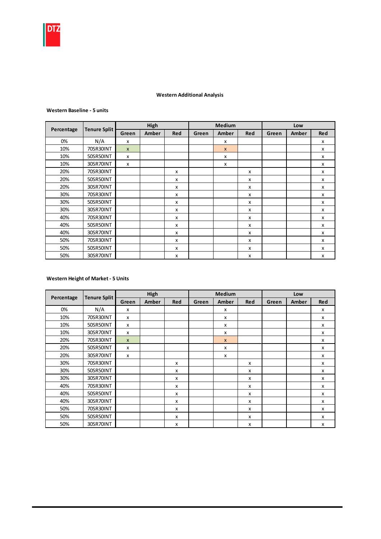#### Western Additional Analysis

#### Western Baseline - 5 units

|            |                     |              | High  |              |       | <b>Medium</b> |            |       | Low   |            |
|------------|---------------------|--------------|-------|--------------|-------|---------------|------------|-------|-------|------------|
| Percentage | <b>Tenure Split</b> | Green        | Amber | <b>Red</b>   | Green | Amber         | <b>Red</b> | Green | Amber | <b>Red</b> |
| 0%         | N/A                 | X            |       |              |       | x             |            |       |       | X          |
| 10%        | 70SR30INT           | $\mathsf{x}$ |       |              |       | $\mathsf{x}$  |            |       |       | X          |
| 10%        | 50SR50INT           | X            |       |              |       | x             |            |       |       | X          |
| 10%        | 30SR70INT           | X            |       |              |       | X             |            |       |       | X          |
| 20%        | 70SR30INT           |              |       | X            |       |               | X          |       |       | X          |
| 20%        | 50SR50INT           |              |       | $\mathsf{x}$ |       |               | x          |       |       | x          |
| 20%        | 30SR70INT           |              |       | x            |       |               | x          |       |       | x          |
| 30%        | 70SR30INT           |              |       | X            |       |               | X          |       |       | X          |
| 30%        | 50SR50INT           |              |       | X            |       |               | X          |       |       | X          |
| 30%        | 30SR70INT           |              |       | $\mathsf{x}$ |       |               | x          |       |       | x          |
| 40%        | 70SR30INT           |              |       | X            |       |               | x          |       |       | x          |
| 40%        | 50SR50INT           |              |       | X            |       |               | x          |       |       | x          |
| 40%        | 30SR70INT           |              |       | X            |       |               | X          |       |       | X          |
| 50%        | 70SR30INT           |              |       | X            |       |               | X          |       |       | X          |
| 50%        | 50SR50INT           |              |       | $\mathsf{x}$ |       |               | X          |       |       | x          |
| 50%        | 30SR70INT           |              |       | X            |       |               | X          |       |       | X          |

#### Western Height of Market - 5 Units

|            | <b>Tenure Split</b> |              | High  |              |       | Medium       |              |       | Low   |            |
|------------|---------------------|--------------|-------|--------------|-------|--------------|--------------|-------|-------|------------|
| Percentage |                     | Green        | Amber | Red          | Green | Amber        | <b>Red</b>   | Green | Amber | <b>Red</b> |
| 0%         | N/A                 | X            |       |              |       | X            |              |       |       | X          |
| 10%        | 70SR30INT           | x            |       |              |       | X            |              |       |       | x          |
| 10%        | 50SR50INT           | x            |       |              |       | X            |              |       |       | x          |
| 10%        | 30SR70INT           | X            |       |              |       | X            |              |       |       | X          |
| 20%        | 70SR30INT           | $\mathsf{x}$ |       |              |       | $\mathbf{x}$ |              |       |       | X          |
| 20%        | 50SR50INT           | X            |       |              |       | X            |              |       |       | X          |
| 20%        | 30SR70INT           | X            |       |              |       | x            |              |       |       | X          |
| 30%        | 70SR30INT           |              |       | $\mathsf{x}$ |       |              | X            |       |       | X          |
| 30%        | 50SR50INT           |              |       | $\mathsf{x}$ |       |              | $\mathsf{x}$ |       |       | x          |
| 30%        | 30SR70INT           |              |       | X            |       |              | X            |       |       | X          |
| 40%        | 70SR30INT           |              |       | $\mathsf{x}$ |       |              | $\mathsf{x}$ |       |       | X          |
| 40%        | 50SR50INT           |              |       | X            |       |              | X            |       |       | X          |
| 40%        | 30SR70INT           |              |       | $\mathsf{x}$ |       |              | $\mathsf{x}$ |       |       | X          |
| 50%        | 70SR30INT           |              |       | $\mathsf{x}$ |       |              | $\mathsf{x}$ |       |       | X          |
| 50%        | 50SR50INT           |              |       | x            |       |              | $\mathsf{x}$ |       |       | x          |
| 50%        | 30SR70INT           |              |       | $\mathsf{x}$ |       |              | $\mathsf{x}$ |       |       | X          |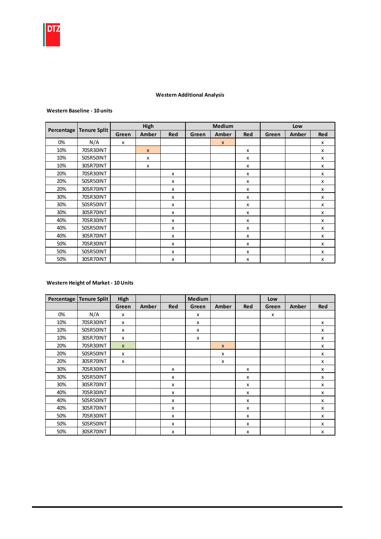

#### Western Additional Analysis

#### Western Baseline - 10 units

|            |                     |       | High         |            |       | <b>Medium</b> |            |       | Low   |     |
|------------|---------------------|-------|--------------|------------|-------|---------------|------------|-------|-------|-----|
| Percentage | <b>Tenure Split</b> | Green | Amber        | <b>Red</b> | Green | Amber         | <b>Red</b> | Green | Amber | Red |
| 0%         | N/A                 | x     |              |            |       | $\mathsf{x}$  |            |       |       | X   |
| 10%        | 70SR30INT           |       | $\mathsf{x}$ |            |       |               | X          |       |       | X   |
| 10%        | 50SR50INT           |       | x            |            |       |               | x          |       |       | x   |
| 10%        | 30SR70INT           |       | x            |            |       |               | x          |       |       | x   |
| 20%        | 70SR30INT           |       |              | x          |       |               | x          |       |       | X   |
| 20%        | 50SR50INT           |       |              | x          |       |               | x          |       |       | X   |
| 20%        | 30SR70INT           |       |              | x          |       |               | x          |       |       | X   |
| 30%        | 70SR30INT           |       |              | x          |       |               | x          |       |       | X   |
| 30%        | 50SR50INT           |       |              | x          |       |               | x          |       |       | X   |
| 30%        | 30SR70INT           |       |              | x          |       |               | x          |       |       | X   |
| 40%        | 70SR30INT           |       |              | x          |       |               | x          |       |       | X   |
| 40%        | 50SR50INT           |       |              | x          |       |               | x          |       |       | X   |
| 40%        | 30SR70INT           |       |              | x          |       |               | x          |       |       | X   |
| 50%        | 70SR30INT           |       |              | x          |       |               | x          |       |       | X   |
| 50%        | 50SR50INT           |       |              | x          |       |               | x          |       |       | X   |
| 50%        | 30SR70INT           |       |              | x          |       |               | x          |       |       | X   |

## Western Height of Market - 10 Units

| Percentage | <b>Tenure Split</b> | High         |       |            | Medium |              |            | Low   |       |                           |
|------------|---------------------|--------------|-------|------------|--------|--------------|------------|-------|-------|---------------------------|
|            |                     | Green        | Amber | <b>Red</b> | Green  | Amber        | <b>Red</b> | Green | Amber | <b>Red</b>                |
| 0%         | N/A                 | x            |       |            | x      |              |            | x     |       |                           |
| 10%        | 70SR30INT           | x            |       |            | x      |              |            |       |       | x                         |
| 10%        | 50SR50INT           | x            |       |            | X      |              |            |       |       | $\mathsf{x}$              |
| 10%        | 30SR70INT           | x            |       |            | X      |              |            |       |       | $\boldsymbol{\mathsf{x}}$ |
| 20%        | 70SR30INT           | $\mathsf{x}$ |       |            |        | $\mathsf{x}$ |            |       |       | x                         |
| 20%        | 50SR50INT           | x            |       |            |        | x            |            |       |       | x                         |
| 20%        | 30SR70INT           | x            |       |            |        | x            |            |       |       | x                         |
| 30%        | 70SR30INT           |              |       | x          |        |              | x          |       |       | x                         |
| 30%        | 50SR50INT           |              |       | x          |        |              | X          |       |       | X                         |
| 30%        | 30SR70INT           |              |       | x          |        |              | X          |       |       | $\boldsymbol{\mathsf{x}}$ |
| 40%        | 70SR30INT           |              |       | x          |        |              | X          |       |       | $\boldsymbol{\mathsf{x}}$ |
| 40%        | 50SR50INT           |              |       | x          |        |              | X          |       |       | $\boldsymbol{\mathsf{x}}$ |
| 40%        | 30SR70INT           |              |       | x          |        |              | x          |       |       | x                         |
| 50%        | 70SR30INT           |              |       | x          |        |              | x          |       |       | X                         |
| 50%        | 50SR50INT           |              |       | x          |        |              | x          |       |       | X                         |
| 50%        | 30SR70INT           |              |       | x          |        |              | x          |       |       | x                         |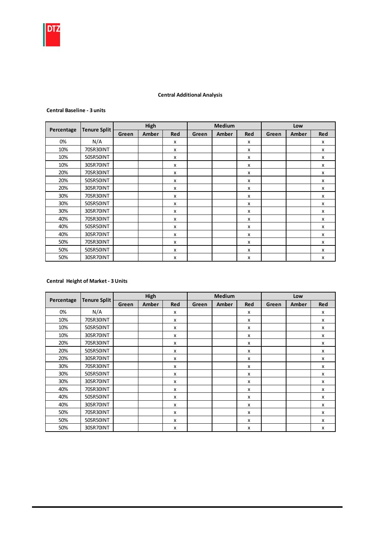

## Central Additional Analysis

#### Central Baseline - 3 units

|            |                     |       | High  |            |       | <b>Medium</b> |            |       | Low   |                           |
|------------|---------------------|-------|-------|------------|-------|---------------|------------|-------|-------|---------------------------|
| Percentage | <b>Tenure Split</b> | Green | Amber | <b>Red</b> | Green | Amber         | <b>Red</b> | Green | Amber | <b>Red</b>                |
| 0%         | N/A                 |       |       | x          |       |               | x          |       |       | x                         |
| 10%        | 70SR30INT           |       |       | X          |       |               | X          |       |       | x                         |
| 10%        | 50SR50INT           |       |       | X          |       |               | X          |       |       | X                         |
| 10%        | 30SR70INT           |       |       | X          |       |               | X          |       |       | X                         |
| 20%        | 70SR30INT           |       |       | x          |       |               | X          |       |       | $\boldsymbol{\mathsf{x}}$ |
| 20%        | 50SR50INT           |       |       | X          |       |               | X          |       |       | x                         |
| 20%        | 30SR70INT           |       |       | X          |       |               | x          |       |       | x                         |
| 30%        | 70SR30INT           |       |       | X          |       |               | X          |       |       | x                         |
| 30%        | 50SR50INT           |       |       | x          |       |               | x          |       |       | x                         |
| 30%        | 30SR70INT           |       |       | x          |       |               | X          |       |       | $\boldsymbol{\mathsf{x}}$ |
| 40%        | 70SR30INT           |       |       | x          |       |               | x          |       |       | x                         |
| 40%        | 50SR50INT           |       |       | x          |       |               | x          |       |       | x                         |
| 40%        | 30SR70INT           |       |       | X          |       |               | X          |       |       | X                         |
| 50%        | 70SR30INT           |       |       | x          |       |               | x          |       |       | x                         |
| 50%        | 50SR50INT           |       |       | x          |       |               | x          |       |       | x                         |
| 50%        | 30SR70INT           |       |       | х          |       |               | x          |       |       | x                         |

## Central Height of Market - 3 Units

|            |                     |       | High  |     |       | <b>Medium</b> |     |       | Low   |            |
|------------|---------------------|-------|-------|-----|-------|---------------|-----|-------|-------|------------|
| Percentage | <b>Tenure Split</b> | Green | Amber | Red | Green | Amber         | Red | Green | Amber | <b>Red</b> |
| 0%         | N/A                 |       |       | x   |       |               | x   |       |       | x          |
| 10%        | 70SR30INT           |       |       | X   |       |               | x   |       |       | X          |
| 10%        | 50SR50INT           |       |       | x   |       |               | x   |       |       | x          |
| 10%        | 30SR70INT           |       |       | x   |       |               | x   |       |       | x          |
| 20%        | 70SR30INT           |       |       | x   |       |               | х   |       |       | x          |
| 20%        | 50SR50INT           |       |       | x   |       |               | x   |       |       | x          |
| 20%        | 30SR70INT           |       |       | x   |       |               | X   |       |       | x          |
| 30%        | 70SR30INT           |       |       | X   |       |               | X   |       |       | X          |
| 30%        | 50SR50INT           |       |       | x   |       |               | x   |       |       | x          |
| 30%        | 30SR70INT           |       |       | X   |       |               | x   |       |       | X          |
| 40%        | 70SR30INT           |       |       | X   |       |               | X   |       |       | x          |
| 40%        | 50SR50INT           |       |       | X   |       |               | X   |       |       | X          |
| 40%        | 30SR70INT           |       |       | x   |       |               | X   |       |       | X          |
| 50%        | 70SR30INT           |       |       | x   |       |               | x   |       |       | x          |
| 50%        | 50SR50INT           |       |       | x   |       |               | x   |       |       | x          |
| 50%        | 30SR70INT           |       |       | X   |       |               | x   |       |       | x          |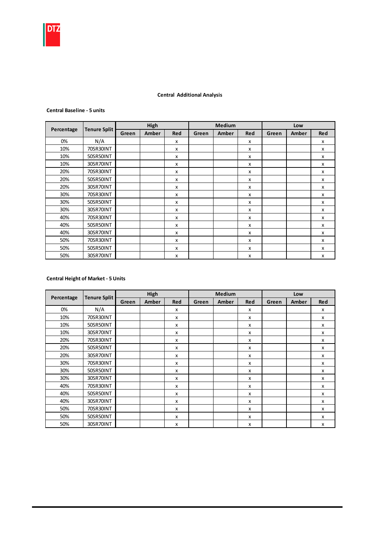#### Central Additional Analysis

#### Central Baseline - 5 units

|            |                     |       | High  |              |       | <b>Medium</b> |              |       | Low   |            |
|------------|---------------------|-------|-------|--------------|-------|---------------|--------------|-------|-------|------------|
| Percentage | <b>Tenure Split</b> | Green | Amber | Red          | Green | Amber         | <b>Red</b>   | Green | Amber | <b>Red</b> |
| 0%         | N/A                 |       |       | X            |       |               | x            |       |       | x          |
| 10%        | 70SR30INT           |       |       | X            |       |               | $\mathsf{x}$ |       |       | X          |
| 10%        | 50SR50INT           |       |       | X            |       |               | X            |       |       | X          |
| 10%        | 30SR70INT           |       |       | X            |       |               | x            |       |       | x          |
| 20%        | 70SR30INT           |       |       | X            |       |               | x            |       |       | x          |
| 20%        | 50SR50INT           |       |       | x            |       |               | x            |       |       | X          |
| 20%        | 30SR70INT           |       |       | x            |       |               | x            |       |       | X          |
| 30%        | 70SR30INT           |       |       | X            |       |               | x            |       |       | X          |
| 30%        | 50SR50INT           |       |       | X            |       |               | X            |       |       | X          |
| 30%        | 30SR70INT           |       |       | $\mathsf{x}$ |       |               | X            |       |       | X          |
| 40%        | 70SR30INT           |       |       | $\mathsf{x}$ |       |               | X            |       |       | X          |
| 40%        | 50SR50INT           |       |       | X            |       |               | x            |       |       | x          |
| 40%        | 30SR70INT           |       |       | X            |       |               | x            |       |       | X          |
| 50%        | 70SR30INT           |       |       | X            |       |               | x            |       |       | x          |
| 50%        | 50SR50INT           |       |       | X            |       |               | x            |       |       | x          |
| 50%        | 30SR70INT           |       |       | X            |       |               | X            |       |       | X          |

## Central Height of Market - 5 Units

|            | <b>Tenure Split</b> |       | High         |              | Medium |       |                           | Low   |       |                           |
|------------|---------------------|-------|--------------|--------------|--------|-------|---------------------------|-------|-------|---------------------------|
| Percentage |                     | Green | <b>Amber</b> | <b>Red</b>   | Green  | Amber | <b>Red</b>                | Green | Amber | <b>Red</b>                |
| 0%         | N/A                 |       |              | X            |        |       | X                         |       |       | x                         |
| 10%        | 70SR30INT           |       |              | X            |        |       | $\boldsymbol{\mathsf{x}}$ |       |       | X                         |
| 10%        | 50SR50INT           |       |              | $\mathsf{x}$ |        |       | x                         |       |       | $\mathsf{x}$              |
| 10%        | 30SR70INT           |       |              | x            |        |       | x                         |       |       | $\mathsf{x}$              |
| 20%        | 70SR30INT           |       |              | $\mathsf{x}$ |        |       | $\boldsymbol{\mathsf{x}}$ |       |       | x                         |
| 20%        | 50SR50INT           |       |              | $\mathsf{x}$ |        |       | X                         |       |       | X                         |
| 20%        | 30SR70INT           |       |              | $\mathsf{x}$ |        |       | $\boldsymbol{\mathsf{x}}$ |       |       | $\boldsymbol{\mathsf{x}}$ |
| 30%        | 70SR30INT           |       |              | $\mathsf{x}$ |        |       | $\boldsymbol{\mathsf{x}}$ |       |       | $\boldsymbol{\mathsf{x}}$ |
| 30%        | 50SR50INT           |       |              | $\mathsf{x}$ |        |       | $\boldsymbol{\mathsf{x}}$ |       |       | $\boldsymbol{\mathsf{x}}$ |
| 30%        | 30SR70INT           |       |              | X            |        |       | X                         |       |       | X                         |
| 40%        | 70SR30INT           |       |              | X            |        |       | $\boldsymbol{\mathsf{x}}$ |       |       | $\mathsf{x}$              |
| 40%        | 50SR50INT           |       |              | $\mathsf{x}$ |        |       | $\mathsf{x}$              |       |       | $\mathsf{x}$              |
| 40%        | 30SR70INT           |       |              | $\mathsf{x}$ |        |       | $\boldsymbol{\mathsf{x}}$ |       |       | $\boldsymbol{\mathsf{x}}$ |
| 50%        | 70SR30INT           |       |              | X            |        |       | $\mathsf{x}$              |       |       | $\mathsf{x}$              |
| 50%        | 50SR50INT           |       |              | $\mathsf{x}$ |        |       | $\boldsymbol{\mathsf{x}}$ |       |       | $\boldsymbol{\mathsf{x}}$ |
| 50%        | 30SR70INT           |       |              | X            |        |       | $\boldsymbol{\mathsf{x}}$ |       |       | X                         |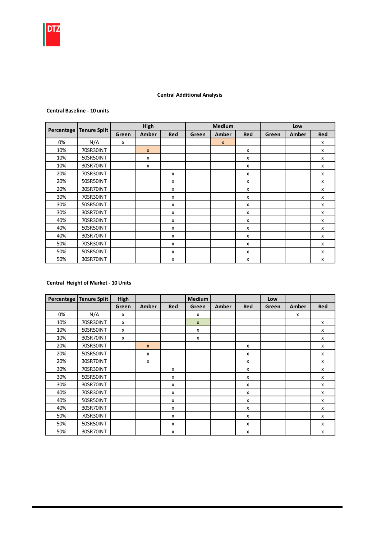#### Central Additional Analysis

#### Central Baseline - 10 units

|            |                     |       | High         |            |       | <b>Medium</b>    |            |       | Low   |                                                                                       |
|------------|---------------------|-------|--------------|------------|-------|------------------|------------|-------|-------|---------------------------------------------------------------------------------------|
| Percentage | <b>Tenure Split</b> | Green | Amber        | <b>Red</b> | Green | Amber            | <b>Red</b> | Green | Amber | <b>Red</b><br>X<br>X<br>X<br>x<br>X<br>X<br>X<br>X<br>x<br>X<br>X<br>X<br>X<br>X<br>x |
| 0%         | N/A                 | x     |              |            |       | $\boldsymbol{x}$ |            |       |       |                                                                                       |
| 10%        | 70SR30INT           |       | $\mathsf{x}$ |            |       |                  | x          |       |       |                                                                                       |
| 10%        | 50SR50INT           |       | X            |            |       |                  | X          |       |       |                                                                                       |
| 10%        | 30SR70INT           |       | X            |            |       |                  | x          |       |       |                                                                                       |
| 20%        | 70SR30INT           |       |              | x          |       |                  | x          |       |       |                                                                                       |
| 20%        | 50SR50INT           |       |              | x          |       |                  | X          |       |       |                                                                                       |
| 20%        | 30SR70INT           |       |              | x          |       |                  | x          |       |       |                                                                                       |
| 30%        | 70SR30INT           |       |              | x          |       |                  | x          |       |       |                                                                                       |
| 30%        | 50SR50INT           |       |              | x          |       |                  | x          |       |       |                                                                                       |
| 30%        | 30SR70INT           |       |              | x          |       |                  | x          |       |       |                                                                                       |
| 40%        | 70SR30INT           |       |              | x          |       |                  | x          |       |       |                                                                                       |
| 40%        | 50SR50INT           |       |              | x          |       |                  | x          |       |       |                                                                                       |
| 40%        | 30SR70INT           |       |              | x          |       |                  | x          |       |       |                                                                                       |
| 50%        | 70SR30INT           |       |              | x          |       |                  | x          |       |       |                                                                                       |
| 50%        | 50SR50INT           |       |              | x          |       |                  | x          |       |       |                                                                                       |
| 50%        | 30SR70INT           |       |              | x          |       |                  | x          |       |       | X                                                                                     |

## Central Height of Market - 10 Units

| Percentage | <b>Tenure Split</b> | High  |              |     | Medium       |       |            | Low   |       |                           |
|------------|---------------------|-------|--------------|-----|--------------|-------|------------|-------|-------|---------------------------|
|            |                     | Green | Amber        | Red | Green        | Amber | <b>Red</b> | Green | Amber | Red                       |
| 0%         | N/A                 | x     |              |     | x            |       |            |       | x     |                           |
| 10%        | 70SR30INT           | x     |              |     | $\mathsf{x}$ |       |            |       |       | $\mathsf{x}$              |
| 10%        | 50SR50INT           | x     |              |     | X            |       |            |       |       | $\boldsymbol{\mathsf{x}}$ |
| 10%        | 30SR70INT           | x     |              |     | X            |       |            |       |       | $\mathsf{x}$              |
| 20%        | 70SR30INT           |       | $\mathsf{x}$ |     |              |       | x          |       |       | х                         |
| 20%        | 50SR50INT           |       | x            |     |              |       | x          |       |       | x                         |
| 20%        | 30SR70INT           |       | x            |     |              |       | x          |       |       | x                         |
| 30%        | 70SR30INT           |       |              | x   |              |       | x          |       |       | X                         |
| 30%        | 50SR50INT           |       |              | x   |              |       | x          |       |       | $\boldsymbol{\mathsf{x}}$ |
| 30%        | 30SR70INT           |       |              | x   |              |       | X          |       |       | $\mathsf{x}$              |
| 40%        | 70SR30INT           |       |              | x   |              |       | X          |       |       | x                         |
| 40%        | 50SR50INT           |       |              | x   |              |       | X          |       |       | x                         |
| 40%        | 30SR70INT           |       |              | x   |              |       | х          |       |       | x                         |
| 50%        | 70SR30INT           |       |              | x   |              |       | X          |       |       | X                         |
| 50%        | 50SR50INT           |       |              | x   |              |       | X          |       |       | X                         |
| 50%        | 30SR70INT           |       |              | x   |              |       | X          |       |       | X                         |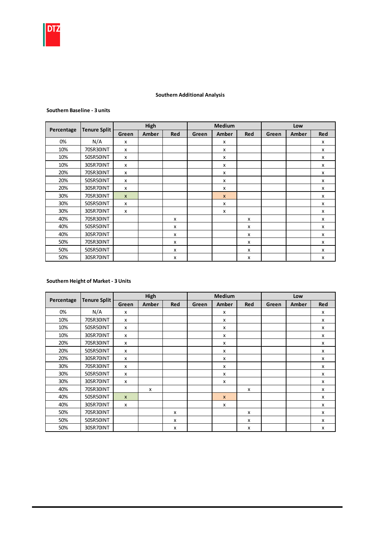

## Southern Additional Analysis

#### Southern Baseline - 3 units

|            |                     |                           | High  |     |       | <b>Medium</b> |     |       | Low   |                           |  |
|------------|---------------------|---------------------------|-------|-----|-------|---------------|-----|-------|-------|---------------------------|--|
| Percentage | <b>Tenure Split</b> | Green                     | Amber | Red | Green | Amber         | Red | Green | Amber | <b>Red</b>                |  |
| 0%         | N/A                 | X                         |       |     |       | x             |     |       |       | X                         |  |
| 10%        | 70SR30INT           | $\boldsymbol{\mathsf{x}}$ |       |     |       | x             |     |       |       | $\boldsymbol{\mathsf{x}}$ |  |
| 10%        | 50SR50INT           | $\boldsymbol{\mathsf{x}}$ |       |     |       | X             |     |       |       | $\boldsymbol{\mathsf{x}}$ |  |
| 10%        | 30SR70INT           | X                         |       |     |       | x             |     |       |       | x                         |  |
| 20%        | 70SR30INT           | $\boldsymbol{\mathsf{x}}$ |       |     |       | x             |     |       |       | x                         |  |
| 20%        | 50SR50INT           | $\boldsymbol{\mathsf{x}}$ |       |     |       | X             |     |       |       | X                         |  |
| 20%        | 30SR70INT           | $\boldsymbol{\mathsf{x}}$ |       |     |       | x             |     |       |       | $\boldsymbol{\mathsf{x}}$ |  |
| 30%        | 70SR30INT           | $\mathsf{x}$              |       |     |       | $\mathsf{x}$  |     |       |       | X                         |  |
| 30%        | 50SR50INT           | X                         |       |     |       | x             |     |       |       | X                         |  |
| 30%        | 30SR70INT           | X                         |       |     |       | x             |     |       |       | X                         |  |
| 40%        | 70SR30INT           |                           |       | X   |       |               | X   |       |       | X                         |  |
| 40%        | 50SR50INT           |                           |       | X   |       |               | x   |       |       | X                         |  |
| 40%        | 30SR70INT           |                           |       | X   |       |               | х   |       |       | X                         |  |
| 50%        | 70SR30INT           |                           |       | X   |       |               | x   |       |       | X                         |  |
| 50%        | 50SR50INT           |                           |       | x   |       |               | x   |       |       | X                         |  |
| 50%        | 30SR70INT           |                           |       | x   |       |               | x   |       |       | X                         |  |

## Southern Height of Market - 3 Units

|            |                     |              | High  |     |       | <b>Medium</b> |     |       | Low   |            |
|------------|---------------------|--------------|-------|-----|-------|---------------|-----|-------|-------|------------|
| Percentage | <b>Tenure Split</b> | Green        | Amber | Red | Green | Amber         | Red | Green | Amber | <b>Red</b> |
| 0%         | N/A                 | x            |       |     |       | x             |     |       |       | X          |
| 10%        | 70SR30INT           | X            |       |     |       | x             |     |       |       | X          |
| 10%        | 50SR50INT           | X            |       |     |       | x             |     |       |       | X          |
| 10%        | 30SR70INT           | X            |       |     |       | x             |     |       |       | X          |
| 20%        | 70SR30INT           | x            |       |     |       | x             |     |       |       | x          |
| 20%        | 50SR50INT           | x            |       |     |       | x             |     |       |       | x          |
| 20%        | 30SR70INT           | X            |       |     |       | $\mathsf{x}$  |     |       |       | X          |
| 30%        | 70SR30INT           | X            |       |     |       | x             |     |       |       | X          |
| 30%        | 50SR50INT           | x            |       |     |       | x             |     |       |       | x          |
| 30%        | 30SR70INT           | x            |       |     |       | x             |     |       |       | X          |
| 40%        | 70SR30INT           |              | X     |     |       |               | X   |       |       | X          |
| 40%        | 50SR50INT           | $\mathsf{x}$ |       |     |       | $\mathsf{x}$  |     |       |       | X          |
| 40%        | 30SR70INT           | X            |       |     |       | x             |     |       |       | x          |
| 50%        | 70SR30INT           |              |       | x   |       |               | X   |       |       | X          |
| 50%        | 50SR50INT           |              |       | x   |       |               | x   |       |       | x          |
| 50%        | 30SR70INT           |              |       | x   |       |               | X   |       |       | x          |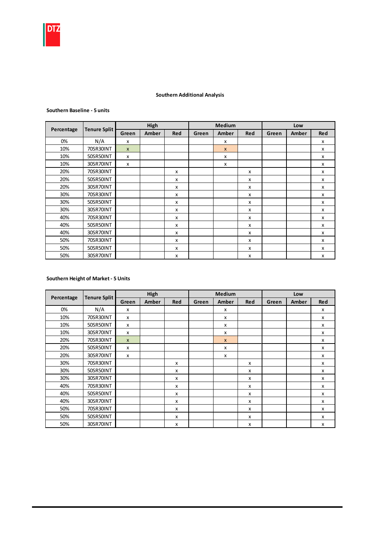#### Southern Additional Analysis

#### Southern Baseline - 5 units

|            |                     |              | High  |              |       | <b>Medium</b> |            |       | Low   |            |
|------------|---------------------|--------------|-------|--------------|-------|---------------|------------|-------|-------|------------|
| Percentage | <b>Tenure Split</b> | Green        | Amber | <b>Red</b>   | Green | Amber         | <b>Red</b> | Green | Amber | <b>Red</b> |
| 0%         | N/A                 | X            |       |              |       | x             |            |       |       | X          |
| 10%        | 70SR30INT           | $\mathsf{x}$ |       |              |       | $\mathsf{x}$  |            |       |       | X          |
| 10%        | 50SR50INT           | X            |       |              |       | x             |            |       |       | X          |
| 10%        | 30SR70INT           | X            |       |              |       | X             |            |       |       | X          |
| 20%        | 70SR30INT           |              |       | X            |       |               | X          |       |       | X          |
| 20%        | 50SR50INT           |              |       | $\mathsf{x}$ |       |               | x          |       |       | x          |
| 20%        | 30SR70INT           |              |       | x            |       |               | x          |       |       | x          |
| 30%        | 70SR30INT           |              |       | X            |       |               | X          |       |       | X          |
| 30%        | 50SR50INT           |              |       | X            |       |               | X          |       |       | X          |
| 30%        | 30SR70INT           |              |       | $\mathsf{x}$ |       |               | x          |       |       | x          |
| 40%        | 70SR30INT           |              |       | X            |       |               | x          |       |       | x          |
| 40%        | 50SR50INT           |              |       | X            |       |               | x          |       |       | x          |
| 40%        | 30SR70INT           |              |       | X            |       |               | X          |       |       | X          |
| 50%        | 70SR30INT           |              |       | X            |       |               | X          |       |       | X          |
| 50%        | 50SR50INT           |              |       | $\mathsf{x}$ |       |               | X          |       |       | x          |
| 50%        | 30SR70INT           |              |       | X            |       |               | X          |       |       | X          |

#### Southern Height of Market - 5 Units

|            | <b>Tenure Split</b> |              | High  |              |       | <b>Medium</b> |              |       | Low   |                           |
|------------|---------------------|--------------|-------|--------------|-------|---------------|--------------|-------|-------|---------------------------|
| Percentage |                     | Green        | Amber | <b>Red</b>   | Green | Amber         | <b>Red</b>   | Green | Amber | <b>Red</b>                |
| 0%         | N/A                 | X            |       |              |       | X             |              |       |       | X                         |
| 10%        | 70SR30INT           | x            |       |              |       | x             |              |       |       | x                         |
| 10%        | 50SR50INT           | X            |       |              |       | x             |              |       |       | X                         |
| 10%        | 30SR70INT           | X            |       |              |       | x             |              |       |       | X                         |
| 20%        | 70SR30INT           | $\mathsf{x}$ |       |              |       | $\mathsf{x}$  |              |       |       | X                         |
| 20%        | 50SR50INT           | x            |       |              |       | x             |              |       |       | X                         |
| 20%        | 30SR70INT           | x            |       |              |       | x             |              |       |       | X                         |
| 30%        | 70SR30INT           |              |       | X            |       |               | X            |       |       | X                         |
| 30%        | 50SR50INT           |              |       | $\mathsf{x}$ |       |               | X            |       |       | $\boldsymbol{\mathsf{x}}$ |
| 30%        | 30SR70INT           |              |       | $\mathsf{x}$ |       |               | $\mathsf{x}$ |       |       | X                         |
| 40%        | 70SR30INT           |              |       | X            |       |               | x            |       |       | X                         |
| 40%        | 50SR50INT           |              |       | x            |       |               | x            |       |       | X                         |
| 40%        | 30SR70INT           |              |       | $\mathsf{x}$ |       |               | X            |       |       | X                         |
| 50%        | 70SR30INT           |              |       | X            |       |               | X            |       |       | X                         |
| 50%        | 50SR50INT           |              |       | x            |       |               | x            |       |       | x                         |
| 50%        | 30SR70INT           |              |       | $\mathsf{x}$ |       |               | X            |       |       | X                         |